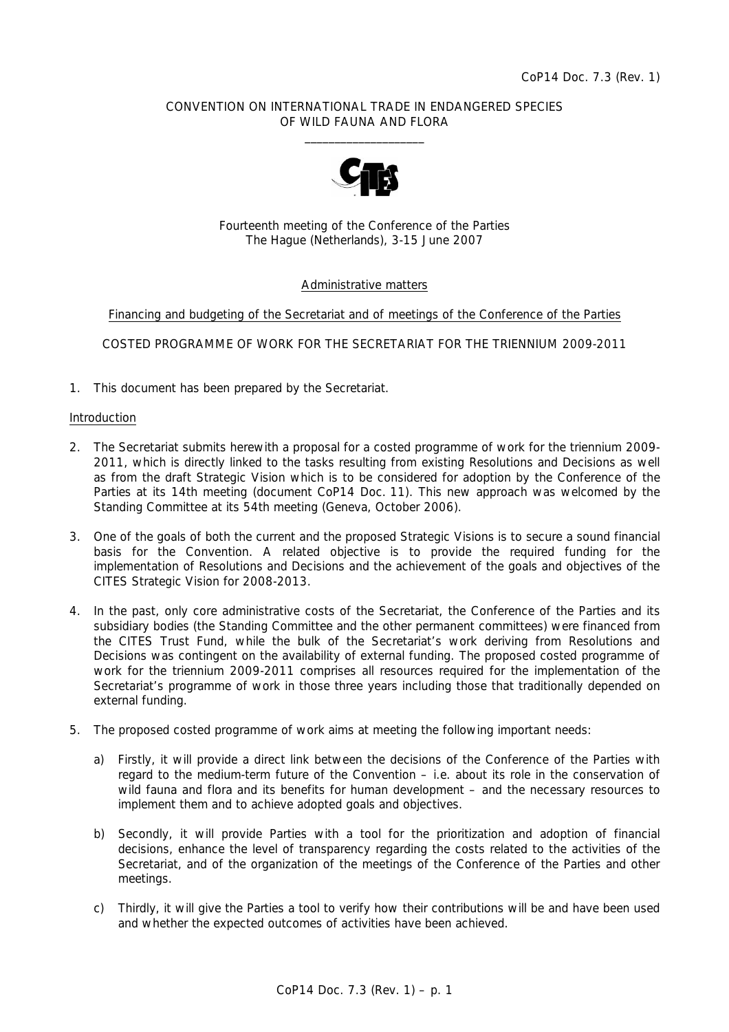# CONVENTION ON INTERNATIONAL TRADE IN ENDANGERED SPECIES OF WILD FAUNA AND FLORA  $\frac{1}{2}$  , and the set of the set of the set of the set of the set of the set of the set of the set of the set of the set of the set of the set of the set of the set of the set of the set of the set of the set of the set



Fourteenth meeting of the Conference of the Parties The Hague (Netherlands), 3-15 June 2007

# Administrative matters

Financing and budgeting of the Secretariat and of meetings of the Conference of the Parties

COSTED PROGRAMME OF WORK FOR THE SECRETARIAT FOR THE TRIENNIUM 2009-2011

1. This document has been prepared by the Secretariat.

### Introduction

- 2. The Secretariat submits herewith a proposal for a costed programme of work for the triennium 2009- 2011, which is directly linked to the tasks resulting from existing Resolutions and Decisions as well as from the draft Strategic Vision which is to be considered for adoption by the Conference of the Parties at its 14th meeting (document CoP14 Doc. 11). This new approach was welcomed by the Standing Committee at its 54th meeting (Geneva, October 2006).
- 3. One of the goals of both the current and the proposed Strategic Visions is to secure a sound financial basis for the Convention. A related objective is to provide the required funding for the implementation of Resolutions and Decisions and the achievement of the goals and objectives of the CITES Strategic Vision for 2008-2013.
- 4. In the past, only core administrative costs of the Secretariat, the Conference of the Parties and its subsidiary bodies (the Standing Committee and the other permanent committees) were financed from the CITES Trust Fund, while the bulk of the Secretariat's work deriving from Resolutions and Decisions was contingent on the availability of external funding. The proposed costed programme of work for the triennium 2009-2011 comprises all resources required for the implementation of the Secretariat's programme of work in those three years including those that traditionally depended on external funding.
- 5. The proposed costed programme of work aims at meeting the following important needs:
	- a) Firstly, it will provide a direct link between the decisions of the Conference of the Parties with regard to the medium-term future of the Convention – i.e. about its role in the conservation of wild fauna and flora and its benefits for human development – and the necessary resources to implement them and to achieve adopted goals and objectives.
	- b) Secondly, it will provide Parties with a tool for the prioritization and adoption of financial decisions, enhance the level of transparency regarding the costs related to the activities of the Secretariat, and of the organization of the meetings of the Conference of the Parties and other meetings.
	- c) Thirdly, it will give the Parties a tool to verify how their contributions will be and have been used and whether the expected outcomes of activities have been achieved.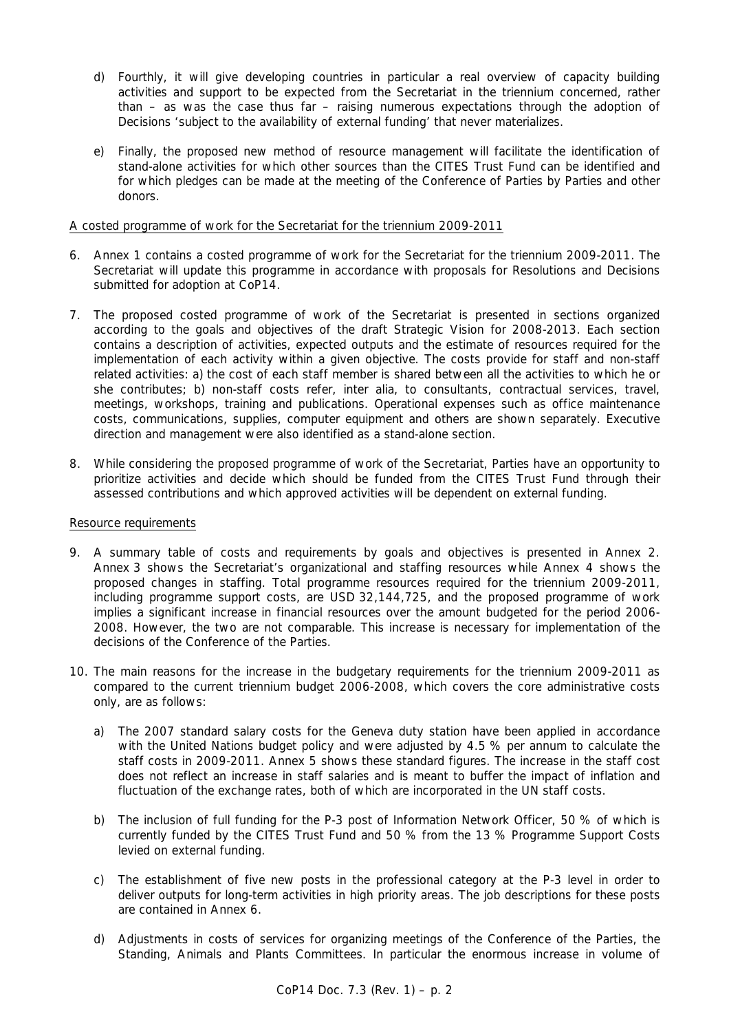- d) Fourthly, it will give developing countries in particular a real overview of capacity building activities and support to be expected from the Secretariat in the triennium concerned, rather than – as was the case thus far – raising numerous expectations through the adoption of Decisions 'subject to the availability of external funding' that never materializes.
- e) Finally, the proposed new method of resource management will facilitate the identification of stand-alone activities for which other sources than the CITES Trust Fund can be identified and for which pledges can be made at the meeting of the Conference of Parties by Parties and other donors.

# A costed programme of work for the Secretariat for the triennium 2009-2011

- 6. Annex 1 contains a costed programme of work for the Secretariat for the triennium 2009-2011. The Secretariat will update this programme in accordance with proposals for Resolutions and Decisions submitted for adoption at CoP14.
- 7. The proposed costed programme of work of the Secretariat is presented in sections organized according to the goals and objectives of the draft Strategic Vision for 2008-2013. Each section contains a description of activities, expected outputs and the estimate of resources required for the implementation of each activity within a given objective. The costs provide for staff and non-staff related activities: a) the cost of each staff member is shared between all the activities to which he or she contributes; b) non-staff costs refer, *inter alia*, to consultants, contractual services, travel, meetings, workshops, training and publications. Operational expenses such as office maintenance costs, communications, supplies, computer equipment and others are shown separately. Executive direction and management were also identified as a stand-alone section.
- 8. While considering the proposed programme of work of the Secretariat, Parties have an opportunity to prioritize activities and decide which should be funded from the CITES Trust Fund through their assessed contributions and which approved activities will be dependent on external funding.

## Resource requirements

- 9. A summary table of costs and requirements by goals and objectives is presented in Annex 2. Annex 3 shows the Secretariat's organizational and staffing resources while Annex 4 shows the proposed changes in staffing. Total programme resources required for the triennium 2009-2011, including programme support costs, are USD 32,144,725, and the proposed programme of work implies a significant increase in financial resources over the amount budgeted for the period 2006- 2008. However, the two are not comparable. This increase is necessary for implementation of the decisions of the Conference of the Parties.
- 10. The main reasons for the increase in the budgetary requirements for the triennium 2009-2011 as compared to the current triennium budget 2006-2008, which covers the core administrative costs only, are as follows:
	- a) The 2007 standard salary costs for the Geneva duty station have been applied in accordance with the United Nations budget policy and were adjusted by 4.5 % per annum to calculate the staff costs in 2009-2011. Annex 5 shows these standard figures. The increase in the staff cost does not reflect an increase in staff salaries and is meant to buffer the impact of inflation and fluctuation of the exchange rates, both of which are incorporated in the UN staff costs.
	- b) The inclusion of full funding for the P-3 post of Information Network Officer, 50 % of which is currently funded by the CITES Trust Fund and 50 % from the 13 % Programme Support Costs levied on external funding.
	- c) The establishment of five new posts in the professional category at the P-3 level in order to deliver outputs for long-term activities in high priority areas. The job descriptions for these posts are contained in Annex 6.
	- d) Adjustments in costs of services for organizing meetings of the Conference of the Parties, the Standing, Animals and Plants Committees. In particular the enormous increase in volume of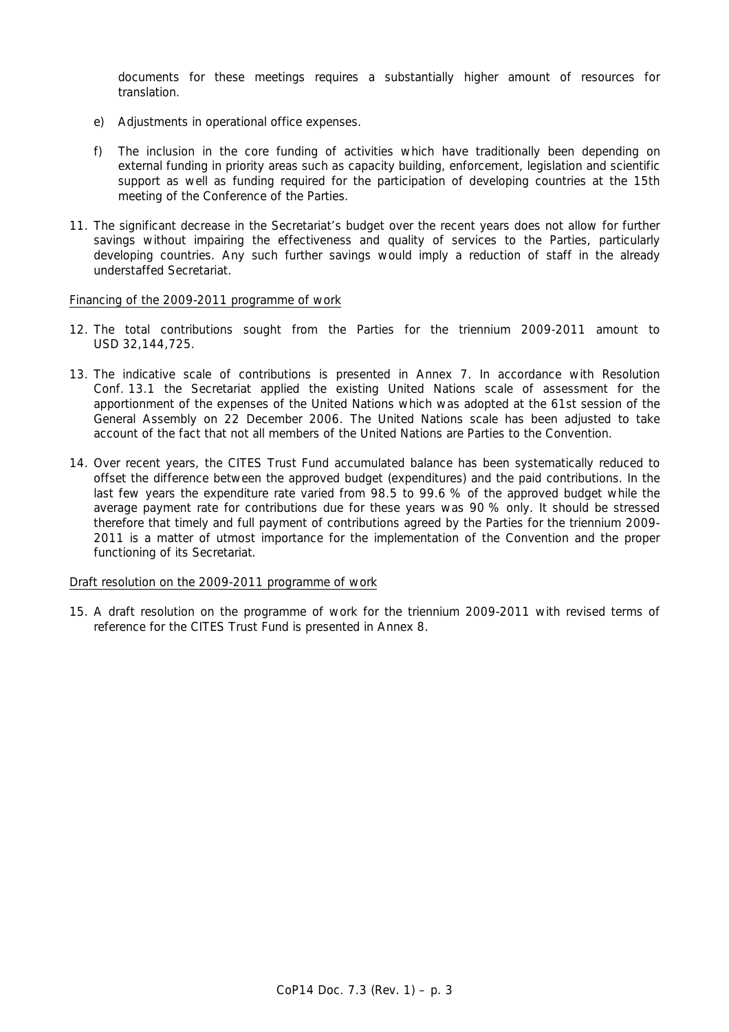documents for these meetings requires a substantially higher amount of resources for translation.

- e) Adjustments in operational office expenses.
- f) The inclusion in the core funding of activities which have traditionally been depending on external funding in priority areas such as capacity building, enforcement, legislation and scientific support as well as funding required for the participation of developing countries at the 15th meeting of the Conference of the Parties.
- 11. The significant decrease in the Secretariat's budget over the recent years does not allow for further savings without impairing the effectiveness and quality of services to the Parties, particularly developing countries. Any such further savings would imply a reduction of staff in the already understaffed Secretariat.

### Financing of the 2009-2011 programme of work

- 12. The total contributions sought from the Parties for the triennium 2009-2011 amount to USD 32,144,725.
- 13. The indicative scale of contributions is presented in Annex 7. In accordance with Resolution Conf. 13.1 the Secretariat applied the existing United Nations scale of assessment for the apportionment of the expenses of the United Nations which was adopted at the 61st session of the General Assembly on 22 December 2006. The United Nations scale has been adjusted to take account of the fact that not all members of the United Nations are Parties to the Convention.
- 14. Over recent years, the CITES Trust Fund accumulated balance has been systematically reduced to offset the difference between the approved budget (expenditures) and the paid contributions. In the last few years the expenditure rate varied from 98.5 to 99.6 % of the approved budget while the average payment rate for contributions due for these years was 90 % only. It should be stressed therefore that timely and full payment of contributions agreed by the Parties for the triennium 2009- 2011 is a matter of utmost importance for the implementation of the Convention and the proper functioning of its Secretariat.

## Draft resolution on the 2009-2011 programme of work

15. A draft resolution on the programme of work for the triennium 2009-2011 with revised terms of reference for the CITES Trust Fund is presented in Annex 8.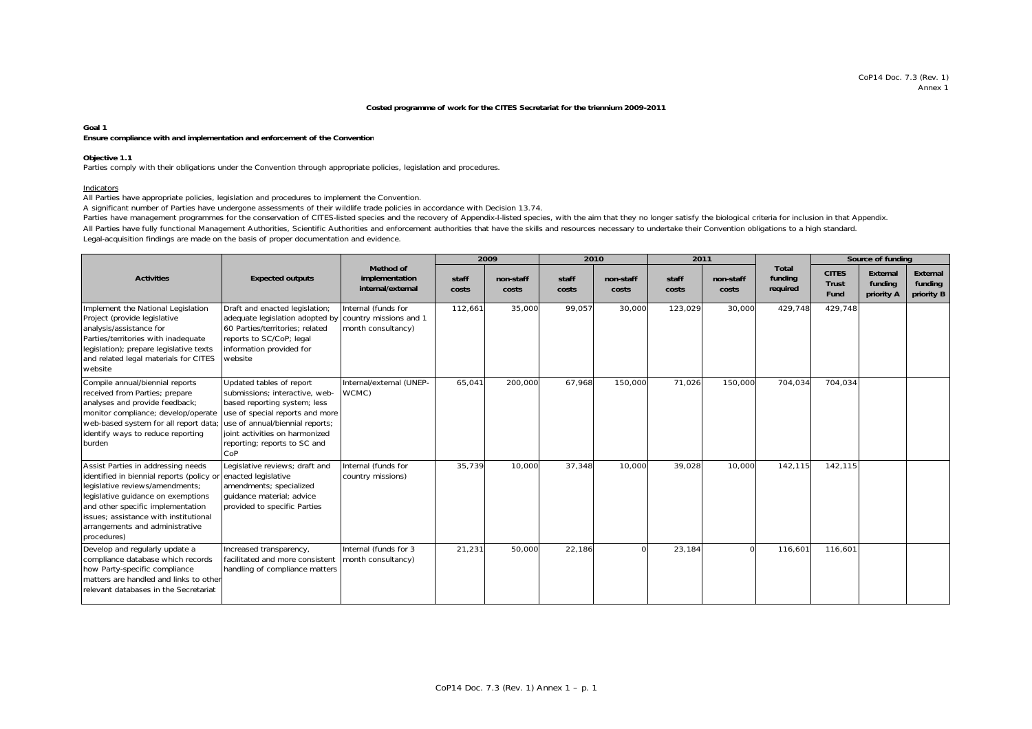#### **Costed programme of work for the CITES Secretariat for the triennium 2009-2011**

### **Goal 1**

### **Ensure compliance with and implementation and enforcement of the Convention**

#### **Objective 1.1**

Parties comply with their obligations under the Convention through appropriate policies, legislation and procedures.

#### Indicators

All Parties have appropriate policies, legislation and procedures to implement the Convention.

A significant number of Parties have undergone assessments of their wildlife trade policies in accordance with Decision 13.74.

Parties have management programmes for the conservation of CITES-listed species and the recovery of Appendix-I-listed species, with the aim that they no longer satisfy the biological criteria for inclusion in that Appendix

Legal-acquisition findings are made on the basis of proper documentation and evidence. All Parties have fully functional Management Authorities, Scientific Authorities and enforcement authorities that have the skills and resources necessary to undertake their Convention obligations to a high standard.

|                                                                                                                                                                                                                                                                                          |                                                                                                                                                                                                                                           |                                                                     |                | 2009               | 2010           |                    |                | 2011               |                                     |                                      | Source of funding                 |                                   |
|------------------------------------------------------------------------------------------------------------------------------------------------------------------------------------------------------------------------------------------------------------------------------------------|-------------------------------------------------------------------------------------------------------------------------------------------------------------------------------------------------------------------------------------------|---------------------------------------------------------------------|----------------|--------------------|----------------|--------------------|----------------|--------------------|-------------------------------------|--------------------------------------|-----------------------------------|-----------------------------------|
| <b>Activities</b>                                                                                                                                                                                                                                                                        | <b>Expected outputs</b>                                                                                                                                                                                                                   | Method of<br>implementation<br>internal/external                    | staff<br>costs | non-staff<br>costs | staff<br>costs | non-staff<br>costs | staff<br>costs | non-staff<br>costs | <b>Total</b><br>funding<br>required | <b>CITES</b><br><b>Trust</b><br>Fund | External<br>funding<br>priority A | External<br>funding<br>priority B |
| Implement the National Legislation<br>Project (provide legislative<br>analysis/assistance for<br>Parties/territories with inadequate<br>legislation); prepare legislative texts<br>and related legal materials for CITES<br>website                                                      | Draft and enacted legislation;<br>adequate legislation adopted by<br>60 Parties/territories: related<br>reports to SC/CoP; legal<br>information provided for<br>website                                                                   | Internal (funds for<br>country missions and 1<br>month consultancy) | 112,661        | 35,000             | 99,057         | 30,000             | 123,029        | 30,000             | 429,748                             | 429,748                              |                                   |                                   |
| Compile annual/biennial reports<br>received from Parties; prepare<br>analyses and provide feedback;<br>monitor compliance; develop/operate<br>web-based system for all report data<br>identify ways to reduce reporting<br>burden                                                        | Updated tables of report<br>submissions; interactive, web-<br>based reporting system; less<br>use of special reports and more<br>use of annual/biennial reports;<br>joint activities on harmonized<br>reporting; reports to SC and<br>CoP | Internal/external (UNEP-<br>WCMC)                                   | 65,041         | 200,000            | 67,968         | 150,000            | 71,026         | 150,000            | 704,034                             | 704,034                              |                                   |                                   |
| Assist Parties in addressing needs<br>identified in biennial reports (policy or<br>legislative reviews/amendments;<br>legislative guidance on exemptions<br>and other specific implementation<br>issues: assistance with institutional<br>arrangements and administrative<br>procedures) | Legislative reviews; draft and<br>enacted legislative<br>amendments; specialized<br>quidance material; advice<br>provided to specific Parties                                                                                             | Internal (funds for<br>country missions)                            | 35.739         | 10,000             | 37.348         | 10,000             | 39,028         | 10.000             | 142.115                             | 142.115                              |                                   |                                   |
| Develop and regularly update a<br>compliance database which records<br>how Party-specific compliance<br>matters are handled and links to other<br>relevant databases in the Secretariat                                                                                                  | Increased transparency,<br>facilitated and more consistent<br>handling of compliance matters                                                                                                                                              | Internal (funds for 3<br>month consultancy)                         | 21,231         | 50,000             | 22,186         | $\Omega$           | 23,184         | $\Omega$           | 116,601                             | 116.601                              |                                   |                                   |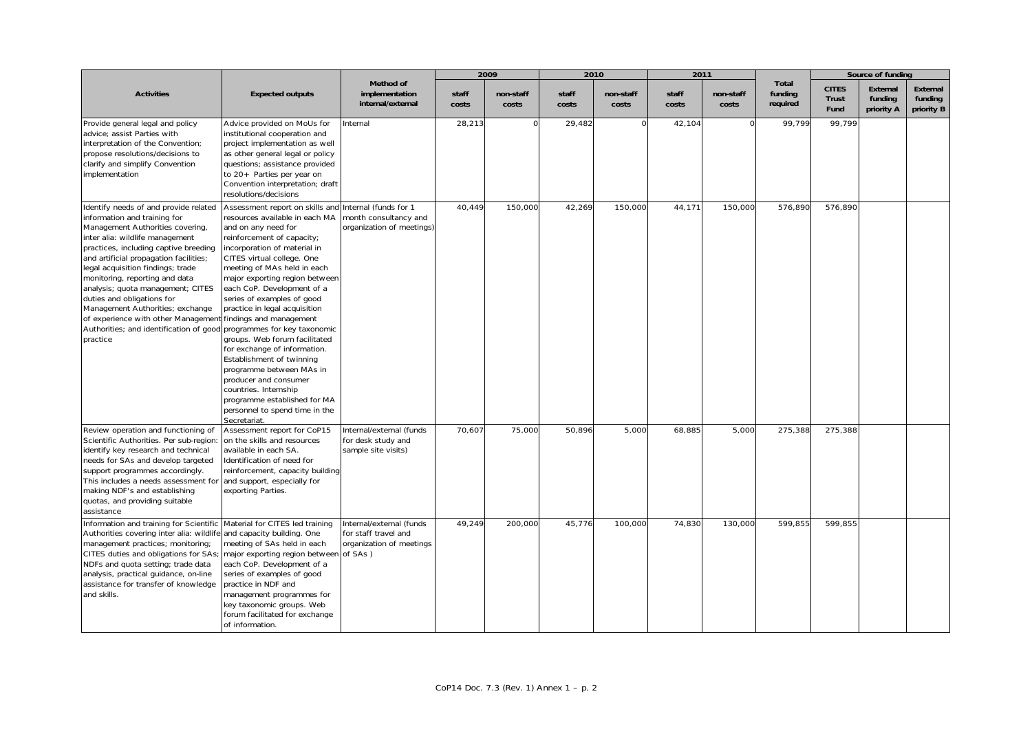|                                                                                                                                                                                                                                                                                                                                                                                                                                                                                                             |                                                                                                                                                                                                                                                                                                                                                                                                                                                                                                                                                                                                                                                                             |                                                                              |                | 2009               | 2010           |                    | 2011           |                    |                              |                               | Source of funding                 |                                   |
|-------------------------------------------------------------------------------------------------------------------------------------------------------------------------------------------------------------------------------------------------------------------------------------------------------------------------------------------------------------------------------------------------------------------------------------------------------------------------------------------------------------|-----------------------------------------------------------------------------------------------------------------------------------------------------------------------------------------------------------------------------------------------------------------------------------------------------------------------------------------------------------------------------------------------------------------------------------------------------------------------------------------------------------------------------------------------------------------------------------------------------------------------------------------------------------------------------|------------------------------------------------------------------------------|----------------|--------------------|----------------|--------------------|----------------|--------------------|------------------------------|-------------------------------|-----------------------------------|-----------------------------------|
| <b>Activities</b>                                                                                                                                                                                                                                                                                                                                                                                                                                                                                           | <b>Expected outputs</b>                                                                                                                                                                                                                                                                                                                                                                                                                                                                                                                                                                                                                                                     | Method of<br>implementation<br>internal/external                             | staff<br>costs | non-staff<br>costs | staff<br>costs | non-staff<br>costs | staff<br>costs | non-staff<br>costs | Total<br>funding<br>required | <b>CITES</b><br>Trust<br>Fund | External<br>funding<br>priority A | External<br>funding<br>priority B |
| Provide general legal and policy<br>advice; assist Parties with<br>interpretation of the Convention;<br>propose resolutions/decisions to<br>clarify and simplify Convention<br>implementation                                                                                                                                                                                                                                                                                                               | Advice provided on MoUs for<br>institutional cooperation and<br>project implementation as well<br>as other general legal or policy<br>questions; assistance provided<br>to 20+ Parties per year on<br>Convention interpretation; draft<br>resolutions/decisions                                                                                                                                                                                                                                                                                                                                                                                                             | Internal                                                                     | 28,213         |                    | 29,482         |                    | 42,104         | $\Omega$           | 99,799                       | 99,799                        |                                   |                                   |
| Identify needs of and provide related<br>information and training for<br>Management Authorities covering,<br>inter alia: wildlife management<br>practices, including captive breeding<br>and artificial propagation facilities;<br>legal acquisition findings; trade<br>monitoring, reporting and data<br>analysis; quota management; CITES<br>duties and obligations for<br>Management Authorities; exchange<br>of experience with other Management<br>Authorities; and identification of good<br>practice | Assessment report on skills and<br>resources available in each MA<br>and on any need for<br>reinforcement of capacity;<br>incorporation of material in<br>CITES virtual college. One<br>meeting of MAs held in each<br>major exporting region between<br>each CoP. Development of a<br>series of examples of good<br>practice in legal acquisition<br>findings and management<br>programmes for key taxonomic<br>groups. Web forum facilitated<br>for exchange of information.<br>Establishment of twinning<br>programme between MAs in<br>producer and consumer<br>countries. Internship<br>programme established for MA<br>personnel to spend time in the<br>Secretariat. | Internal (funds for 1<br>month consultancy and<br>organization of meetings)  | 40,449         | 150,000            | 42,269         | 150,000            | 44, 17'        | 150,000            | 576,890                      | 576,890                       |                                   |                                   |
| Review operation and functioning of<br>Scientific Authorities. Per sub-region:<br>identify key research and technical<br>needs for SAs and develop targeted<br>support programmes accordingly.<br>This includes a needs assessment for<br>making NDF's and establishing<br>quotas, and providing suitable<br>assistance                                                                                                                                                                                     | Assessment report for CoP15<br>on the skills and resources<br>available in each SA.<br>Identification of need for<br>reinforcement, capacity building<br>and support, especially for<br>exporting Parties.                                                                                                                                                                                                                                                                                                                                                                                                                                                                  | Internal/external (funds<br>for desk study and<br>sample site visits)        | 70,607         | 75,000             | 50,896         | 5,000              | 68,885         | 5,000              | 275,388                      | 275,388                       |                                   |                                   |
| Information and training for Scientific<br>Authorities covering inter alia: wildlife<br>management practices; monitoring;<br>CITES duties and obligations for SAs;<br>NDFs and quota setting; trade data<br>analysis, practical guidance, on-line<br>assistance for transfer of knowledge<br>and skills.                                                                                                                                                                                                    | Material for CITES led training<br>and capacity building. One<br>meeting of SAs held in each<br>major exporting region between of SAs)<br>each CoP. Development of a<br>series of examples of good<br>practice in NDF and<br>management programmes for<br>key taxonomic groups. Web<br>forum facilitated for exchange<br>of information.                                                                                                                                                                                                                                                                                                                                    | Internal/external (funds<br>for staff travel and<br>organization of meetings | 49,249         | 200,000            | 45,776         | 100,000            | 74,830         | 130,000            | 599,855                      | 599,855                       |                                   |                                   |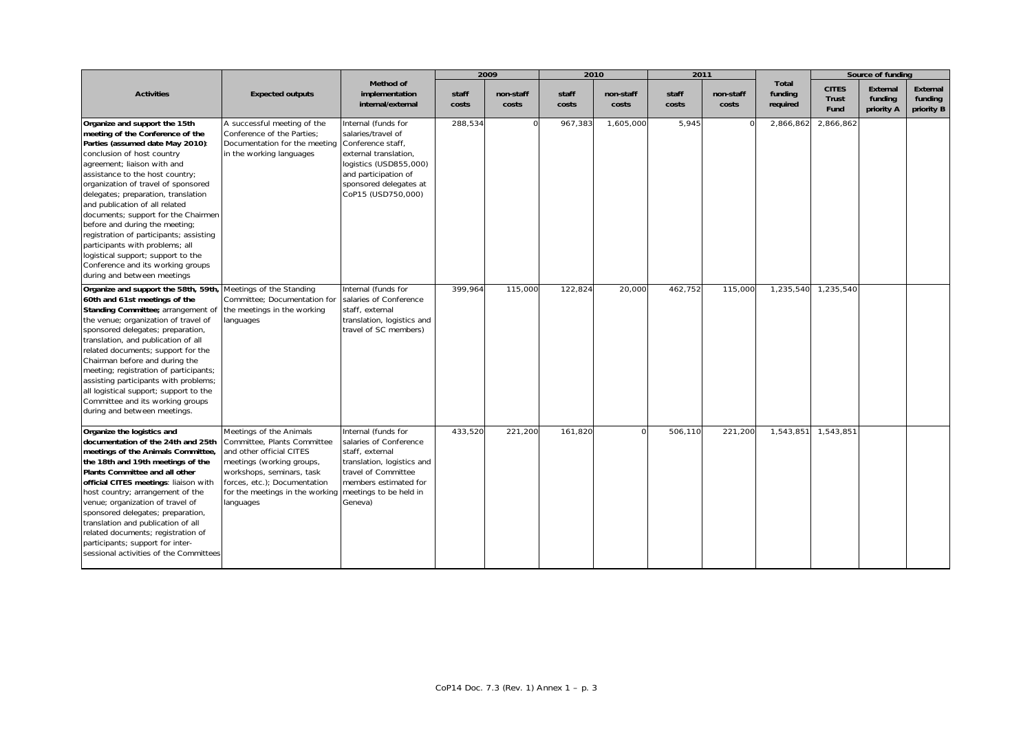|                                                                                                                                                                                                                                                                                                                                                                                                                                                                                                                                                                                        |                                                                                                                                                                                                                              |                                                                                                                                                                                           |                | 2009               | 2010           |                    | 2011           |                    |                              |                                      | Source of funding                 |                                          |
|----------------------------------------------------------------------------------------------------------------------------------------------------------------------------------------------------------------------------------------------------------------------------------------------------------------------------------------------------------------------------------------------------------------------------------------------------------------------------------------------------------------------------------------------------------------------------------------|------------------------------------------------------------------------------------------------------------------------------------------------------------------------------------------------------------------------------|-------------------------------------------------------------------------------------------------------------------------------------------------------------------------------------------|----------------|--------------------|----------------|--------------------|----------------|--------------------|------------------------------|--------------------------------------|-----------------------------------|------------------------------------------|
| <b>Activities</b>                                                                                                                                                                                                                                                                                                                                                                                                                                                                                                                                                                      | <b>Expected outputs</b>                                                                                                                                                                                                      | Method of<br>implementation<br>internal/external                                                                                                                                          | staff<br>costs | non-staff<br>costs | staff<br>costs | non-staff<br>costs | staff<br>costs | non-staff<br>costs | Total<br>funding<br>required | <b>CITES</b><br><b>Trust</b><br>Fund | External<br>funding<br>priority A | <b>External</b><br>funding<br>priority B |
| Organize and support the 15th<br>meeting of the Conference of the<br>Parties (assumed date May 2010):<br>conclusion of host country<br>agreement; liaison with and<br>assistance to the host country;<br>organization of travel of sponsored<br>delegates; preparation, translation<br>and publication of all related<br>documents; support for the Chairmen<br>before and during the meeting;<br>registration of participants; assisting<br>participants with problems; all<br>logistical support; support to the<br>Conference and its working groups<br>during and between meetings | A successful meeting of the<br>Conference of the Parties;<br>Documentation for the meeting<br>in the working languages                                                                                                       | Internal (funds for<br>salaries/travel of<br>Conference staff,<br>external translation,<br>logistics (USD855,000)<br>and participation of<br>sponsored delegates at<br>CoP15 (USD750,000) | 288,534        | $\Omega$           | 967,383        | 1,605,000          | 5,945          |                    | 2,866,862                    | 2,866,862                            |                                   |                                          |
| Organize and support the 58th, 59th, Meetings of the Standing<br>60th and 61st meetings of the<br>Standing Committee; arrangement of<br>the venue; organization of travel of<br>sponsored delegates; preparation,<br>translation, and publication of all<br>related documents; support for the<br>Chairman before and during the<br>meeting; registration of participants;<br>assisting participants with problems;<br>all logistical support; support to the<br>Committee and its working groups<br>during and between meetings.                                                      | Committee; Documentation for<br>the meetings in the working<br>languages                                                                                                                                                     | Internal (funds for<br>salaries of Conference<br>staff, external<br>translation, logistics and<br>travel of SC members)                                                                   | 399,964        | 115,000            | 122,824        | 20,000             | 462,752        | 115,000            | 1,235,540                    | 1,235,540                            |                                   |                                          |
| Organize the logistics and<br>documentation of the 24th and 25th<br>meetings of the Animals Committee,<br>the 18th and 19th meetings of the<br>Plants Committee and all other<br>official CITES meetings: liaison with<br>host country; arrangement of the<br>venue; organization of travel of<br>sponsored delegates; preparation,<br>translation and publication of all<br>related documents; registration of<br>participants; support for inter-<br>sessional activities of the Committees                                                                                          | Meetings of the Animals<br>Committee, Plants Committee<br>and other official CITES<br>meetings (working groups,<br>workshops, seminars, task<br>forces, etc.); Documentation<br>for the meetings in the working<br>languages | Internal (funds for<br>salaries of Conference<br>staff, external<br>translation, logistics and<br>travel of Committee<br>members estimated for<br>meetings to be held in<br>Geneva)       | 433,520        | 221,200            | 161,820        |                    | 506,110        | 221,200            | 1,543,851                    | 1,543,851                            |                                   |                                          |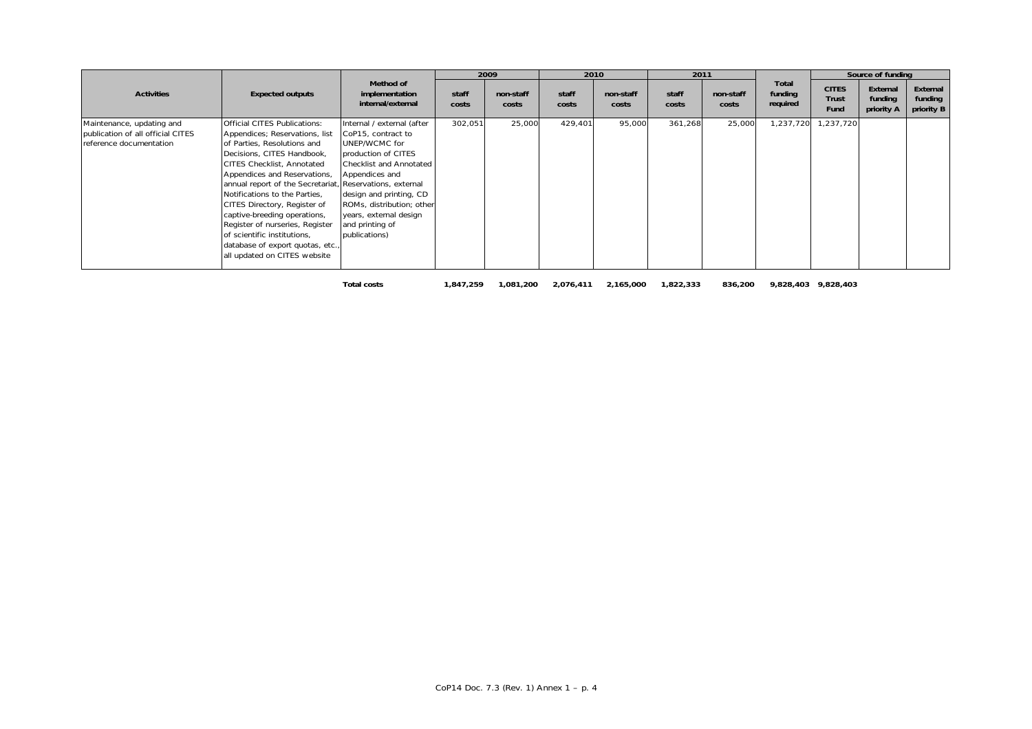|                                                                                           |                                                                                                                                                                                                                                                                                                                                                                                                                                                                              |                                                                                                                                                                                                                                                                                       |                | 2009               | 2010           |                    | 2011           |                    |                              |                                      | Source of funding                 |                                   |
|-------------------------------------------------------------------------------------------|------------------------------------------------------------------------------------------------------------------------------------------------------------------------------------------------------------------------------------------------------------------------------------------------------------------------------------------------------------------------------------------------------------------------------------------------------------------------------|---------------------------------------------------------------------------------------------------------------------------------------------------------------------------------------------------------------------------------------------------------------------------------------|----------------|--------------------|----------------|--------------------|----------------|--------------------|------------------------------|--------------------------------------|-----------------------------------|-----------------------------------|
| <b>Activities</b>                                                                         | <b>Expected outputs</b>                                                                                                                                                                                                                                                                                                                                                                                                                                                      | Method of<br>implementation<br>internal/external                                                                                                                                                                                                                                      | staff<br>costs | non-staff<br>costs | staff<br>costs | non-staff<br>costs | staff<br>costs | non-staff<br>costs | Total<br>funding<br>required | <b>CITES</b><br><b>Trust</b><br>Fund | External<br>funding<br>priority A | External<br>funding<br>priority B |
| Maintenance, updating and<br>publication of all official CITES<br>reference documentation | <b>Official CITES Publications:</b><br>Appendices; Reservations, list<br>of Parties, Resolutions and<br>Decisions, CITES Handbook,<br>CITES Checklist, Annotated<br>Appendices and Reservations,<br>annual report of the Secretariat,<br>Notifications to the Parties,<br>CITES Directory, Register of<br>captive-breeding operations,<br>Register of nurseries, Register<br>of scientific institutions,<br>database of export quotas, etc.,<br>all updated on CITES website | Internal / external (after<br>CoP15, contract to<br>UNEP/WCMC for<br>production of CITES<br>Checklist and Annotated<br>Appendices and<br>Reservations, external<br>design and printing, CD<br>ROMs, distribution; other<br>years, external design<br>and printing of<br>publications) | 302,051        | 25,000             | 429,401        | 95,000             | 361,268        | 25,000             | 1,237,720                    | 1,237,720                            |                                   |                                   |
|                                                                                           |                                                                                                                                                                                                                                                                                                                                                                                                                                                                              | <b>Total costs</b>                                                                                                                                                                                                                                                                    | 1,847,259      | 1,081,200          | 2,076,411      | 2,165,000          | 1,822,333      | 836,200            |                              | 9,828,403 9,828,403                  |                                   |                                   |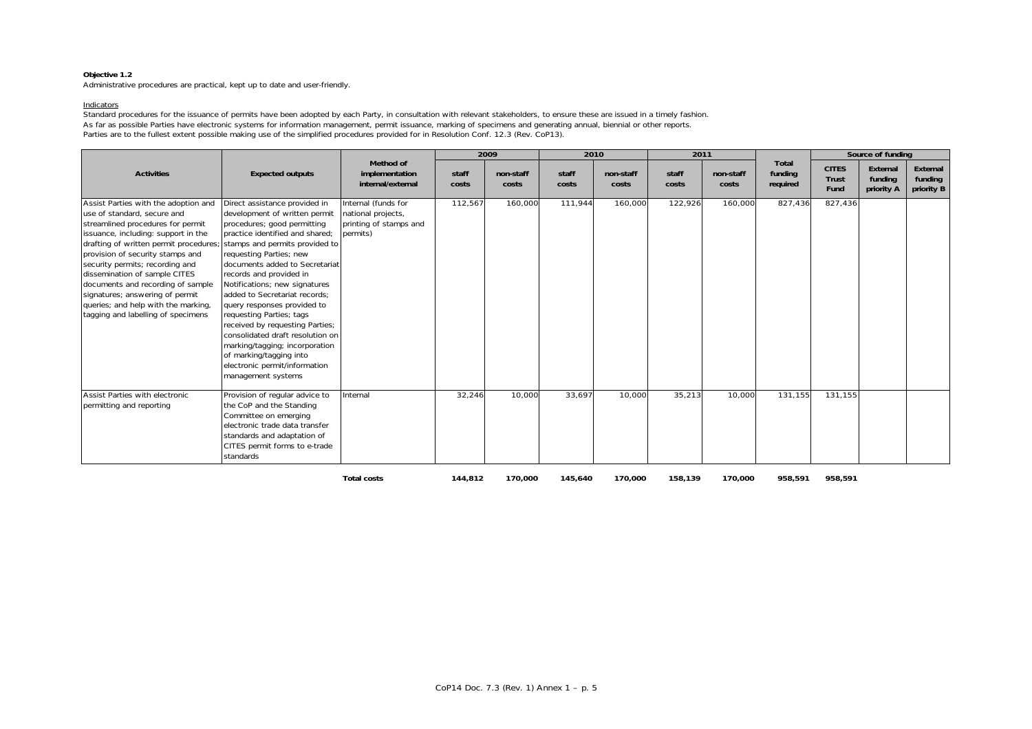Administrative procedures are practical, kept up to date and user-friendly.

#### Indicators

Standard procedures for the issuance of permits have been adopted by each Party, in consultation with relevant stakeholders, to ensure these are issued in a timely fashion As far as possible Parties have electronic systems for information management, permit issuance, marking of specimens and generating annual, biennial or other reports. Parties are to the fullest extent possible making use of the simplified procedures provided for in Resolution Conf. 12.3 (Rev. CoP13).

|                                                                                                                                                                                                                                                                                                                                                                                                                                                        |                                                                                                                                                                                                                                                                                                                                                                                                                                                                                                                                                                                    |                                                                                 |                | 2009               |                | 2010               | 2011           |                    |                              |                                      | Source of funding                 |                                   |
|--------------------------------------------------------------------------------------------------------------------------------------------------------------------------------------------------------------------------------------------------------------------------------------------------------------------------------------------------------------------------------------------------------------------------------------------------------|------------------------------------------------------------------------------------------------------------------------------------------------------------------------------------------------------------------------------------------------------------------------------------------------------------------------------------------------------------------------------------------------------------------------------------------------------------------------------------------------------------------------------------------------------------------------------------|---------------------------------------------------------------------------------|----------------|--------------------|----------------|--------------------|----------------|--------------------|------------------------------|--------------------------------------|-----------------------------------|-----------------------------------|
| <b>Activities</b>                                                                                                                                                                                                                                                                                                                                                                                                                                      | <b>Expected outputs</b>                                                                                                                                                                                                                                                                                                                                                                                                                                                                                                                                                            | Method of<br>implementation<br>internal/external                                | staff<br>costs | non-staff<br>costs | staff<br>costs | non-staff<br>costs | staff<br>costs | non-staff<br>costs | Total<br>funding<br>required | <b>CITES</b><br><b>Trust</b><br>Fund | External<br>fundina<br>priority A | External<br>funding<br>priority B |
| Assist Parties with the adoption and<br>use of standard, secure and<br>streamlined procedures for permit<br>issuance, including: support in the<br>drafting of written permit procedures;<br>provision of security stamps and<br>security permits; recording and<br>dissemination of sample CITES<br>documents and recording of sample<br>signatures; answering of permit<br>queries; and help with the marking,<br>tagging and labelling of specimens | Direct assistance provided in<br>development of written permit<br>procedures; good permitting<br>practice identified and shared:<br>stamps and permits provided to<br>requesting Parties; new<br>documents added to Secretariat<br>records and provided in<br>Notifications; new signatures<br>added to Secretariat records;<br>query responses provided to<br>requesting Parties; tags<br>received by requesting Parties;<br>consolidated draft resolution on<br>marking/tagging; incorporation<br>of marking/tagging into<br>electronic permit/information<br>management systems | Internal (funds for<br>national projects,<br>printing of stamps and<br>permits) | 112,567        | 160,000            | 111,944        | 160,000            | 122,926        | 160,000            | 827,436                      | 827,436                              |                                   |                                   |
| Assist Parties with electronic<br>permitting and reporting                                                                                                                                                                                                                                                                                                                                                                                             | Provision of regular advice to<br>the CoP and the Standing<br>Committee on emerging<br>electronic trade data transfer<br>standards and adaptation of<br>CITES permit forms to e-trade<br>standards                                                                                                                                                                                                                                                                                                                                                                                 | Internal                                                                        | 32,246         | 10,000             | 33,697         | 10,000             | 35,213         | 10,000             | 131,155                      | 131,155                              |                                   |                                   |
|                                                                                                                                                                                                                                                                                                                                                                                                                                                        |                                                                                                                                                                                                                                                                                                                                                                                                                                                                                                                                                                                    | <b>Total costs</b>                                                              | 144,812        | 170,000            | 145,640        | 170,000            | 158,139        | 170,000            | 958,591                      | 958,591                              |                                   |                                   |

CoP14 Doc. 7.3 (Rev. 1) Annex 1 – p. 5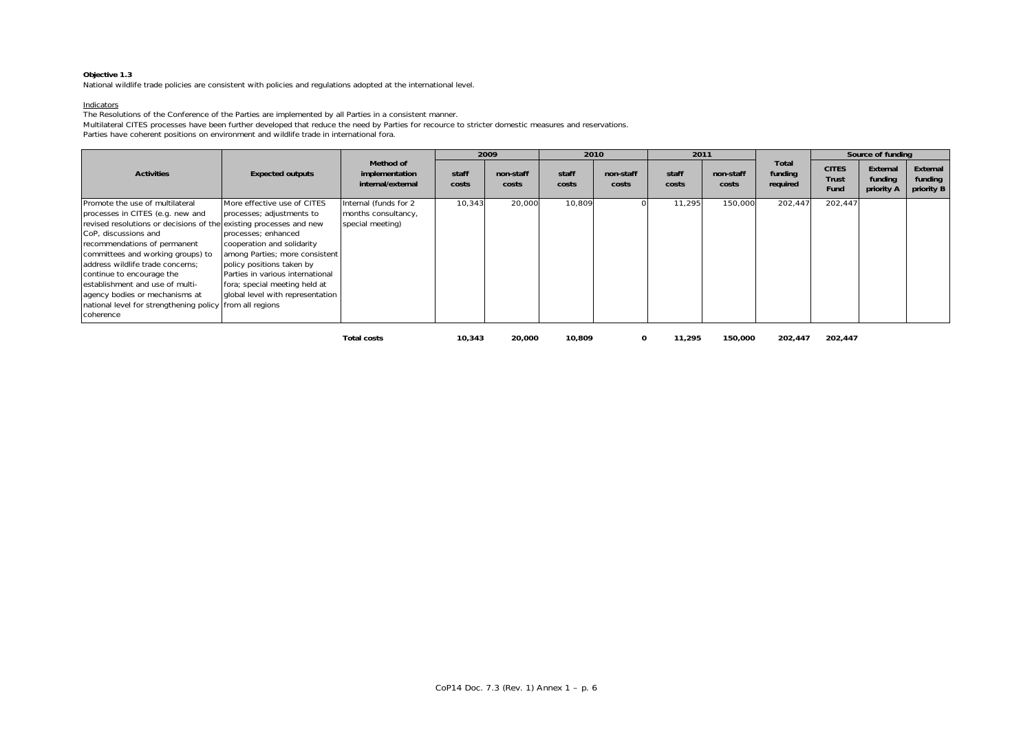National wildlife trade policies are consistent with policies and regulations adopted at the international level.

#### Indicators

The Resolutions of the Conference of the Parties are implemented by all Parties in a consistent manner.

Multilateral CITES processes have been further developed that reduce the need by Parties for recource to stricter domestic measures and reservations.

Parties have coherent positions on environment and wildlife trade in international fora.

|                                                                                                                                                                                                                                                                                                                                                                                                                                                       |                                                                                                                                                                                                                                                                                       |                                                                  |                | 2009               |                | 2010               | 2011           |                    |                                     |                                      | Source of funding                 |                                   |
|-------------------------------------------------------------------------------------------------------------------------------------------------------------------------------------------------------------------------------------------------------------------------------------------------------------------------------------------------------------------------------------------------------------------------------------------------------|---------------------------------------------------------------------------------------------------------------------------------------------------------------------------------------------------------------------------------------------------------------------------------------|------------------------------------------------------------------|----------------|--------------------|----------------|--------------------|----------------|--------------------|-------------------------------------|--------------------------------------|-----------------------------------|-----------------------------------|
| <b>Activities</b>                                                                                                                                                                                                                                                                                                                                                                                                                                     | <b>Expected outputs</b>                                                                                                                                                                                                                                                               | Method of<br>implementation<br>internal/external                 | staff<br>costs | non-staff<br>costs | staff<br>costs | non-staff<br>costs | staff<br>costs | non-staff<br>costs | <b>Total</b><br>funding<br>required | <b>CITES</b><br><b>Trust</b><br>Fund | External<br>funding<br>priority A | External<br>funding<br>priority B |
| Promote the use of multilateral<br>processes in CITES (e.g. new and<br>revised resolutions or decisions of the existing processes and new<br>CoP. discussions and<br>recommendations of permanent<br>committees and working groups) to<br>address wildlife trade concerns:<br>continue to encourage the<br>establishment and use of multi-<br>agency bodies or mechanisms at<br>national level for strengthening policy from all regions<br>coherence | More effective use of CITES<br>processes; adjustments to<br>processes: enhanced<br>cooperation and solidarity<br>among Parties; more consistent<br>policy positions taken by<br>Parties in various international<br>fora; special meeting held at<br>global level with representation | Internal (funds for 2<br>months consultancy,<br>special meeting) | 10,343         | 20,000             | 10,809         |                    | 11,295         | 150,000            | 202,447                             | 202,447                              |                                   |                                   |
|                                                                                                                                                                                                                                                                                                                                                                                                                                                       |                                                                                                                                                                                                                                                                                       | <b>Total costs</b>                                               | 10,343         | 20,000             | 10.809         | 0                  | 11,295         | 150,000            | 202,447                             | 202,447                              |                                   |                                   |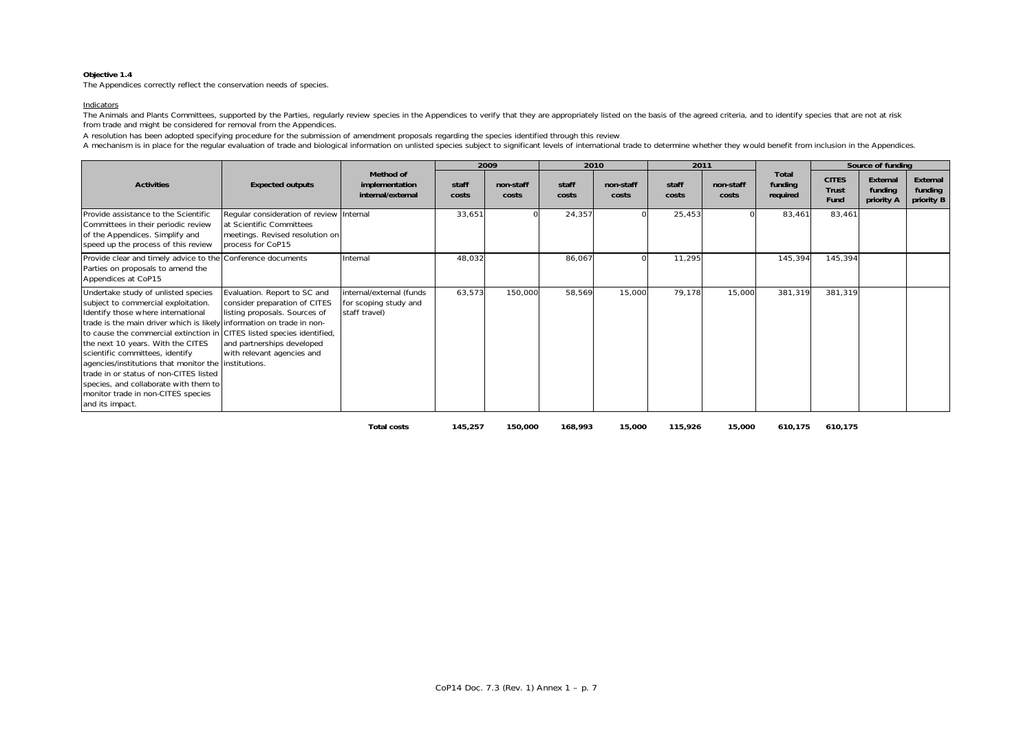The Appendices correctly reflect the conservation needs of species.

#### Indicators

The Animals and Plants Committees, supported by the Parties, regularly review species in the Appendices to verify that they are appropriately listed on the basis of the agreed criteria, and to identify species that are not from trade and might be considered for removal from the Appendices.

A resolution has been adopted specifying procedure for the submission of amendment proposals regarding the species identified through this review.

A mechanism is in place for the regular evaluation of trade and biological information on unlisted species subject to significant levels of international trade to determine whether they would benefit from inclusion in the

|                                                                                                                                                                                                                                                                                                                                                                                                                                                                                                                                                 |                                                                                                                                                            |                                                                    |                | 2009               | 2010           |                    | 2011           |                    |                              |                                      | Source of funding                 |                                   |
|-------------------------------------------------------------------------------------------------------------------------------------------------------------------------------------------------------------------------------------------------------------------------------------------------------------------------------------------------------------------------------------------------------------------------------------------------------------------------------------------------------------------------------------------------|------------------------------------------------------------------------------------------------------------------------------------------------------------|--------------------------------------------------------------------|----------------|--------------------|----------------|--------------------|----------------|--------------------|------------------------------|--------------------------------------|-----------------------------------|-----------------------------------|
| <b>Activities</b>                                                                                                                                                                                                                                                                                                                                                                                                                                                                                                                               | <b>Expected outputs</b>                                                                                                                                    | Method of<br>implementation<br>internal/external                   | staff<br>costs | non-staff<br>costs | staff<br>costs | non-staff<br>costs | staff<br>costs | non-staff<br>costs | Total<br>funding<br>required | <b>CITES</b><br><b>Trust</b><br>Fund | External<br>funding<br>priority A | External<br>funding<br>priority B |
| Provide assistance to the Scientific<br>Committees in their periodic review<br>of the Appendices. Simplify and<br>speed up the process of this review                                                                                                                                                                                                                                                                                                                                                                                           | Regular consideration of review Internal<br>at Scientific Committees<br>meetings. Revised resolution on<br>process for CoP15                               |                                                                    | 33,651         |                    | 24,357         |                    | 25,453         |                    | 83,461                       | 83,461                               |                                   |                                   |
| Provide clear and timely advice to the Conference documents<br>Parties on proposals to amend the<br>Appendices at CoP15                                                                                                                                                                                                                                                                                                                                                                                                                         |                                                                                                                                                            | Internal                                                           | 48,032         |                    | 86,067         |                    | 11,295         |                    | 145,394                      | 145,394                              |                                   |                                   |
| Undertake study of unlisted species<br>subject to commercial exploitation.<br>Identify those where international<br>trade is the main driver which is likely information on trade in non-<br>to cause the commercial extinction in CITES listed species identified,<br>the next 10 years. With the CITES<br>scientific committees, identify<br>agencies/institutions that monitor the institutions.<br>trade in or status of non-CITES listed<br>species, and collaborate with them to<br>monitor trade in non-CITES species<br>and its impact. | Evaluation. Report to SC and<br>consider preparation of CITES<br>listing proposals. Sources of<br>and partnerships developed<br>with relevant agencies and | internal/external (funds<br>for scoping study and<br>staff travel) | 63,573         | 150,000            | 58,569         | 15,000             | 79,178         | 15,000             | 381,319                      | 381,319                              |                                   |                                   |

**Total costs 145,257 150,000 168,993 15,000 115,926 15,000 610,175 610,175**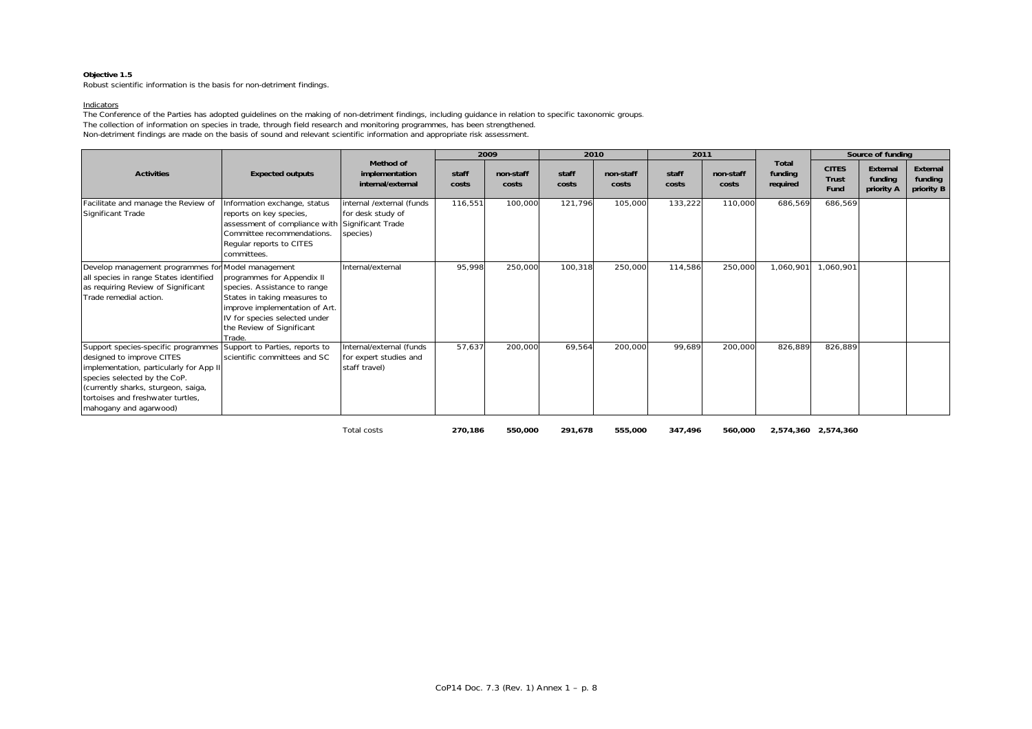Robust scientific information is the basis for non-detriment findings.

#### Indicators

The Conference of the Parties has adopted guidelines on the making of non-detriment findings, including guidance in relation to specific taxonomic groups. The collection of information on species in trade, through field research and monitoring programmes, has been strengthened. Non-detriment findings are made on the basis of sound and relevant scientific information and appropriate risk assessment.

|                                                                                                                                                                                                                                                   |                                                                                                                                                                                                                          |                                                                                 |                | 2009               | 2010           |                    | 2011           |                    |                                     |                                      | Source of funding                 |                                   |
|---------------------------------------------------------------------------------------------------------------------------------------------------------------------------------------------------------------------------------------------------|--------------------------------------------------------------------------------------------------------------------------------------------------------------------------------------------------------------------------|---------------------------------------------------------------------------------|----------------|--------------------|----------------|--------------------|----------------|--------------------|-------------------------------------|--------------------------------------|-----------------------------------|-----------------------------------|
| <b>Activities</b>                                                                                                                                                                                                                                 | <b>Expected outputs</b>                                                                                                                                                                                                  | Method of<br>implementation<br>internal/external                                | staff<br>costs | non-staff<br>costs | staff<br>costs | non-staff<br>costs | staff<br>costs | non-staff<br>costs | <b>Total</b><br>funding<br>required | <b>CITES</b><br><b>Trust</b><br>Fund | External<br>funding<br>priority A | External<br>funding<br>priority B |
| Facilitate and manage the Review of<br>Significant Trade                                                                                                                                                                                          | Information exchange, status<br>reports on key species,<br>assessment of compliance with<br>Committee recommendations.<br>Regular reports to CITES<br>committees.                                                        | internal /external (funds<br>for desk study of<br>Significant Trade<br>species) | 116,551        | 100,000            | 121,796        | 105,000            | 133,222        | 110,000            | 686,569                             | 686,569                              |                                   |                                   |
| Develop management programmes for<br>all species in range States identified<br>as requiring Review of Significant<br>Trade remedial action.                                                                                                       | Model management<br>programmes for Appendix II<br>species. Assistance to range<br>States in taking measures to<br>improve implementation of Art.<br>IV for species selected under<br>the Review of Significant<br>Trade. | Internal/external                                                               | 95,998         | 250,000            | 100,318        | 250,000            | 114,586        | 250,000            | 1,060,901                           | 1,060,901                            |                                   |                                   |
| Support species-specific programmes<br>designed to improve CITES<br>implementation, particularly for App II<br>species selected by the CoP.<br>(currently sharks, sturgeon, saiga,<br>tortoises and freshwater turtles.<br>mahogany and agarwood) | Support to Parties, reports to<br>scientific committees and SC                                                                                                                                                           | Internal/external (funds<br>for expert studies and<br>staff travel)             | 57,637         | 200,000            | 69,564         | 200,000            | 99,689         | 200,000            | 826,889                             | 826,889                              |                                   |                                   |
|                                                                                                                                                                                                                                                   |                                                                                                                                                                                                                          | Total costs                                                                     | 270,186        | 550,000            | 291,678        | 555,000            | 347,496        | 560,000            |                                     | 2,574,360 2,574,360                  |                                   |                                   |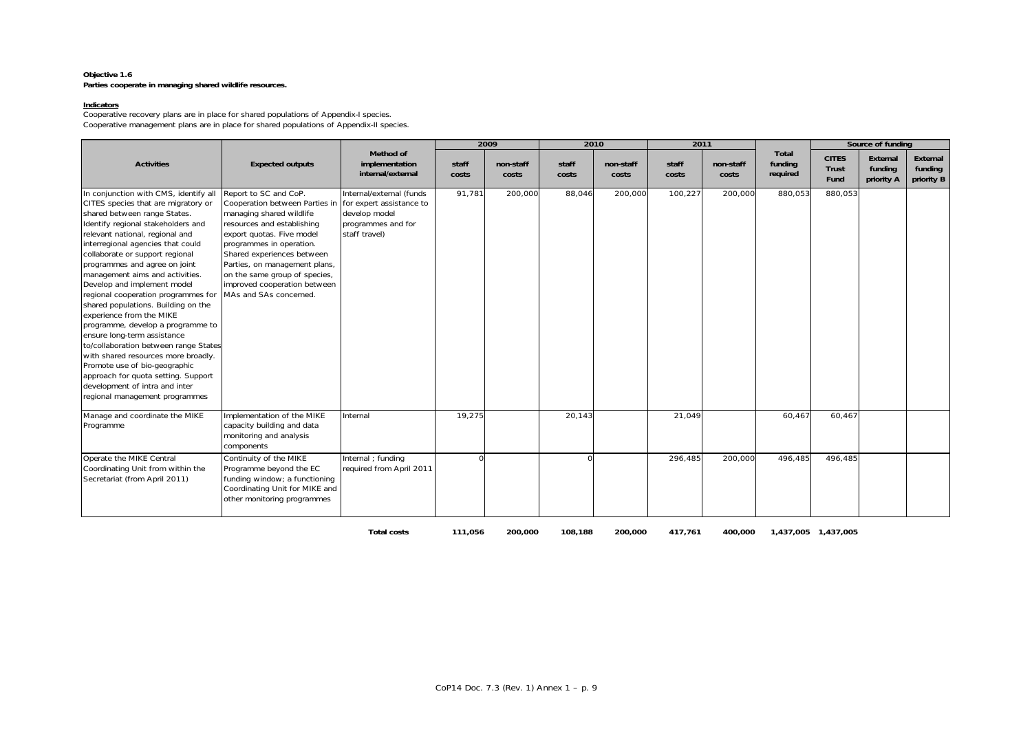### **Objective 1.6 Parties cooperate in managing shared wildlife resources.**

#### **Indicators**

Cooperative recovery plans are in place for shared populations of Appendix-I species. Cooperative management plans are in place for shared populations of Appendix-II species.

|                                                                                                                                                                                                                                                                                                                                                                                                                                                                                                                                                                                                                                                                                                                                                                            |                                                                                                                                                                                                                                                                                                                                                               |                                                                                  |                | 2009               | 2010           |                    | 2011           |                    |                              |                               | Source of funding                 |                                   |
|----------------------------------------------------------------------------------------------------------------------------------------------------------------------------------------------------------------------------------------------------------------------------------------------------------------------------------------------------------------------------------------------------------------------------------------------------------------------------------------------------------------------------------------------------------------------------------------------------------------------------------------------------------------------------------------------------------------------------------------------------------------------------|---------------------------------------------------------------------------------------------------------------------------------------------------------------------------------------------------------------------------------------------------------------------------------------------------------------------------------------------------------------|----------------------------------------------------------------------------------|----------------|--------------------|----------------|--------------------|----------------|--------------------|------------------------------|-------------------------------|-----------------------------------|-----------------------------------|
| <b>Activities</b>                                                                                                                                                                                                                                                                                                                                                                                                                                                                                                                                                                                                                                                                                                                                                          | <b>Expected outputs</b>                                                                                                                                                                                                                                                                                                                                       | Method of<br>implementation<br>internal/external                                 | staff<br>costs | non-staff<br>costs | staff<br>costs | non-staff<br>costs | staff<br>costs | non-staff<br>costs | Total<br>funding<br>required | <b>CITES</b><br>Trust<br>Fund | External<br>funding<br>priority A | External<br>funding<br>priority B |
| In conjunction with CMS, identify all<br>CITES species that are migratory or<br>shared between range States.<br>Identify regional stakeholders and<br>relevant national, regional and<br>interregional agencies that could<br>collaborate or support regional<br>programmes and agree on joint<br>management aims and activities.<br>Develop and implement model<br>regional cooperation programmes for<br>shared populations. Building on the<br>experience from the MIKE<br>programme, develop a programme to<br>ensure long-term assistance<br>to/collaboration between range States<br>with shared resources more broadly.<br>Promote use of bio-geographic<br>approach for quota setting. Support<br>development of intra and inter<br>regional management programmes | Report to SC and CoP.<br>Cooperation between Parties in for expert assistance to<br>managing shared wildlife<br>resources and establishing<br>export quotas. Five model<br>programmes in operation.<br>Shared experiences between<br>Parties, on management plans,<br>on the same group of species,<br>improved cooperation between<br>MAs and SAs concerned. | Internal/external (funds<br>develop model<br>programmes and for<br>staff travel) | 91,781         | 200,000            | 88,046         | 200,000            | 100,227        | 200,000            | 880,053                      | 880,053                       |                                   |                                   |
| Manage and coordinate the MIKE<br>Programme                                                                                                                                                                                                                                                                                                                                                                                                                                                                                                                                                                                                                                                                                                                                | mplementation of the MIKE<br>capacity building and data<br>monitoring and analysis<br>components                                                                                                                                                                                                                                                              | Internal                                                                         | 19,275         |                    | 20,143         |                    | 21,049         |                    | 60,467                       | 60,467                        |                                   |                                   |
| Operate the MIKE Central<br>Coordinating Unit from within the<br>Secretariat (from April 2011)                                                                                                                                                                                                                                                                                                                                                                                                                                                                                                                                                                                                                                                                             | Continuity of the MIKE<br>Programme beyond the EC<br>funding window; a functioning<br>Coordinating Unit for MIKE and<br>other monitoring programmes                                                                                                                                                                                                           | Internal ; funding<br>required from April 2011                                   |                |                    | $\cap$         |                    | 296,485        | 200,000            | 496,485                      | 496,485                       |                                   |                                   |

**Total costs 111,056 200,000 108,188 200,000 417,761 400,000 1,437,005 1,437,005**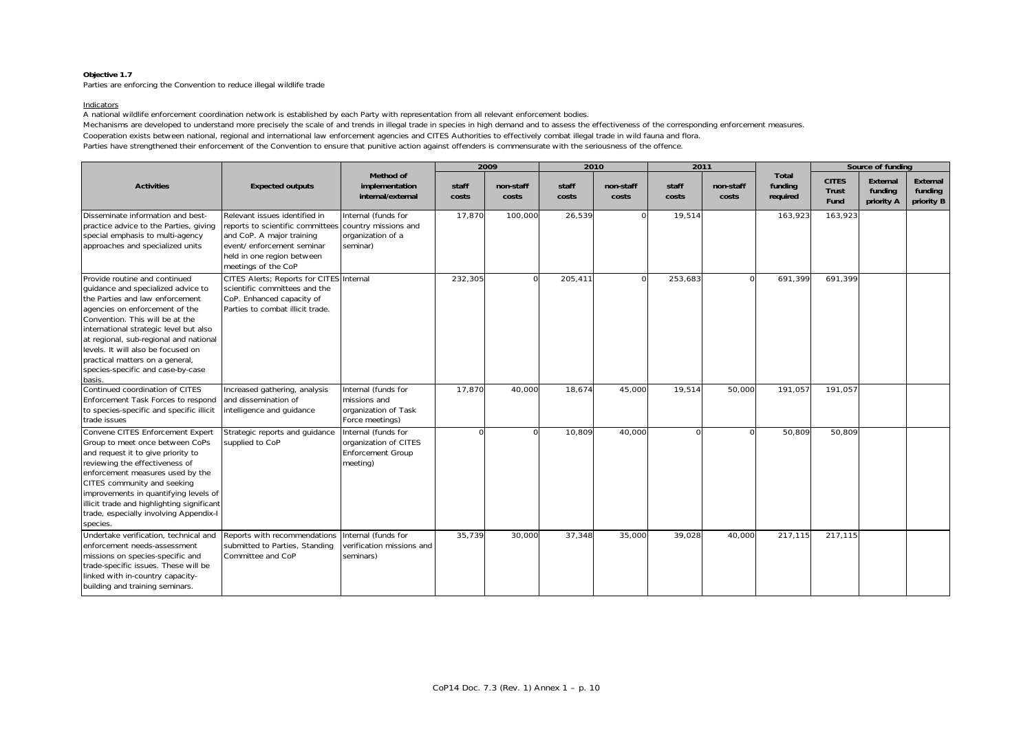Parties are enforcing the Convention to reduce illegal wildlife trade

#### Indicators

A national wildlife enforcement coordination network is established by each Party with representation from all relevant enforcement bodies.

Mechanisms are developed to understand more precisely the scale of and trends in illegal trade in species in high demand and to assess the effectiveness of the corresponding enforcement measures.

Cooperation exists between national, regional and international law enforcement agencies and CITES Authorities to effectively combat illegal trade in wild fauna and flora.

Parties have strengthened their enforcement of the Convention to ensure that punitive action against offenders is commensurate with the seriousness of the offence.

|                                                                                                                                                                                                                                                                                                                                                                                         |                                                                                                                                                                                                        |                                                                                      |                | 2009               |                | 2010               | 2011           |                    |                                     |                               | Source of funding                 |                                   |
|-----------------------------------------------------------------------------------------------------------------------------------------------------------------------------------------------------------------------------------------------------------------------------------------------------------------------------------------------------------------------------------------|--------------------------------------------------------------------------------------------------------------------------------------------------------------------------------------------------------|--------------------------------------------------------------------------------------|----------------|--------------------|----------------|--------------------|----------------|--------------------|-------------------------------------|-------------------------------|-----------------------------------|-----------------------------------|
| <b>Activities</b>                                                                                                                                                                                                                                                                                                                                                                       | <b>Expected outputs</b>                                                                                                                                                                                | Method of<br>implementation<br>internal/external                                     | staff<br>costs | non-staff<br>costs | staff<br>costs | non-staff<br>costs | staff<br>costs | non-staff<br>costs | <b>Total</b><br>funding<br>required | <b>CITES</b><br>Trust<br>Fund | External<br>funding<br>priority A | External<br>funding<br>priority B |
| Disseminate information and best-<br>practice advice to the Parties, giving<br>special emphasis to multi-agency<br>approaches and specialized units                                                                                                                                                                                                                                     | Relevant issues identified in<br>reports to scientific committees country missions and<br>and CoP. A major training<br>event/ enforcement seminar<br>held in one region between<br>meetings of the CoP | Internal (funds for<br>organization of a<br>seminar)                                 | 17,870         | 100,000            | 26,539         | $\Omega$           | 19,514         |                    | 163,923                             | 163,923                       |                                   |                                   |
| Provide routine and continued<br>quidance and specialized advice to<br>the Parties and law enforcement<br>agencies on enforcement of the<br>Convention. This will be at the<br>international strategic level but also<br>at regional, sub-regional and national<br>levels. It will also be focused on<br>practical matters on a general,<br>species-specific and case-by-case<br>basis. | CITES Alerts; Reports for CITES Internal<br>scientific committees and the<br>CoP. Enhanced capacity of<br>Parties to combat illicit trade.                                                             |                                                                                      | 232.305        | $\Omega$           | 205.411        | $\cap$             | 253,683        | $\sqrt{ }$         | 691.399                             | 691.399                       |                                   |                                   |
| Continued coordination of CITES<br>Enforcement Task Forces to respond<br>to species-specific and specific illicit<br>trade issues                                                                                                                                                                                                                                                       | Increased gathering, analysis<br>and dissemination of<br>intelligence and guidance                                                                                                                     | Internal (funds for<br>missions and<br>organization of Task<br>Force meetings)       | 17,870         | 40,000             | 18,674         | 45,000             | 19,514         | 50,000             | 191,057                             | 191,057                       |                                   |                                   |
| Convene CITES Enforcement Expert<br>Group to meet once between CoPs<br>and request it to give priority to<br>reviewing the effectiveness of<br>enforcement measures used by the<br>CITES community and seeking<br>improvements in quantifying levels of<br>illicit trade and highlighting significant<br>trade, especially involving Appendix-I<br>species.                             | Strategic reports and guidance<br>supplied to CoP                                                                                                                                                      | Internal (funds for<br>organization of CITES<br><b>Enforcement Group</b><br>meeting) |                |                    | 10,809         | 40,000             | $\cap$         |                    | 50,809                              | 50,809                        |                                   |                                   |
| Undertake verification, technical and<br>enforcement needs-assessment<br>missions on species-specific and<br>trade-specific issues. These will be<br>linked with in-country capacity-<br>building and training seminars.                                                                                                                                                                | Reports with recommendations<br>submitted to Parties, Standing<br>Committee and CoP                                                                                                                    | Internal (funds for<br>verification missions and<br>seminars)                        | 35,739         | 30,000             | 37,348         | 35,000             | 39,028         | 40,000             | 217,115                             | 217.115                       |                                   |                                   |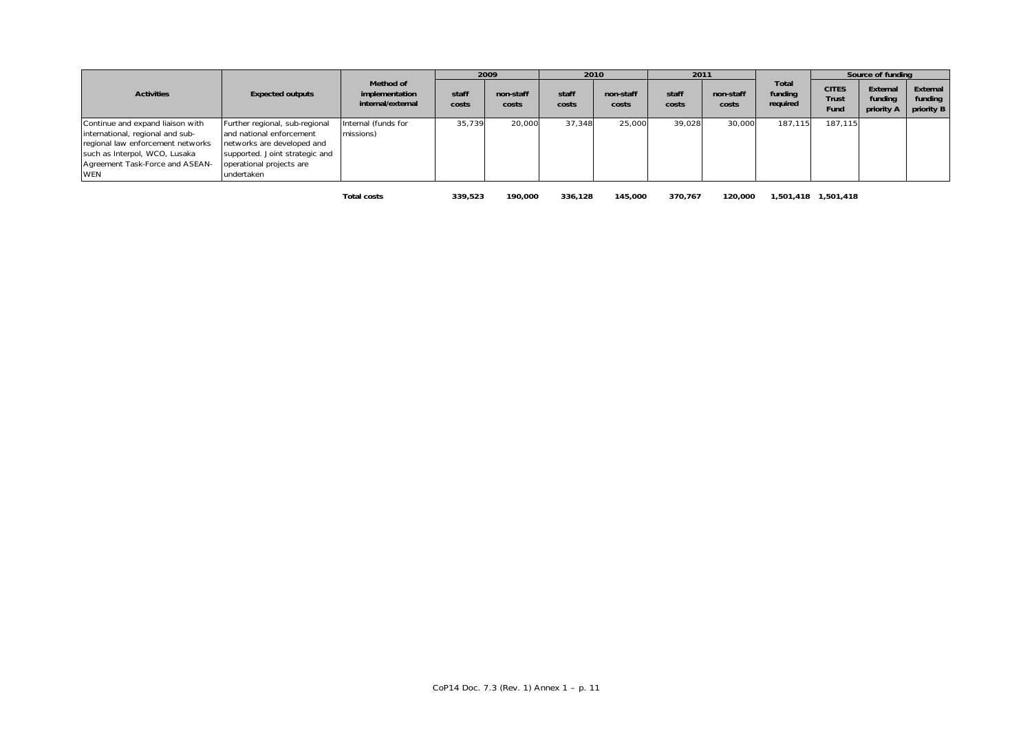|                                                                                                                                                                                             |                                                                                                                                                                      |                                                  |                | 2009               |                | 2010               | 2011           |                    |                              |                                      | Source of funding                 |                                   |
|---------------------------------------------------------------------------------------------------------------------------------------------------------------------------------------------|----------------------------------------------------------------------------------------------------------------------------------------------------------------------|--------------------------------------------------|----------------|--------------------|----------------|--------------------|----------------|--------------------|------------------------------|--------------------------------------|-----------------------------------|-----------------------------------|
| <b>Activities</b>                                                                                                                                                                           | <b>Expected outputs</b>                                                                                                                                              | Method of<br>implementation<br>internal/external | staff<br>costs | non-staff<br>costs | staff<br>costs | non-staff<br>costs | staff<br>costs | non-staff<br>costs | Total<br>funding<br>required | <b>CITES</b><br><b>Trust</b><br>Fund | External<br>funding<br>priority A | External<br>funding<br>priority B |
| Continue and expand liaison with<br>international, regional and sub-<br>regional law enforcement networks<br>such as Interpol, WCO, Lusaka<br>Agreement Task-Force and ASEAN-<br><b>WEN</b> | Further regional, sub-regional<br>and national enforcement<br>networks are developed and<br>supported. Joint strategic and<br>operational projects are<br>undertaken | Internal (funds for<br>missions)                 | 35,739         | 20,000             | 37,348         | 25,000             | 39.028         | 30,000             | 187.115                      | 187.115                              |                                   |                                   |
|                                                                                                                                                                                             |                                                                                                                                                                      | <b>Total costs</b>                               | 339.523        | 190.000            | 336.128        | 145,000            | 370.767        | 120.000            |                              |                                      |                                   |                                   |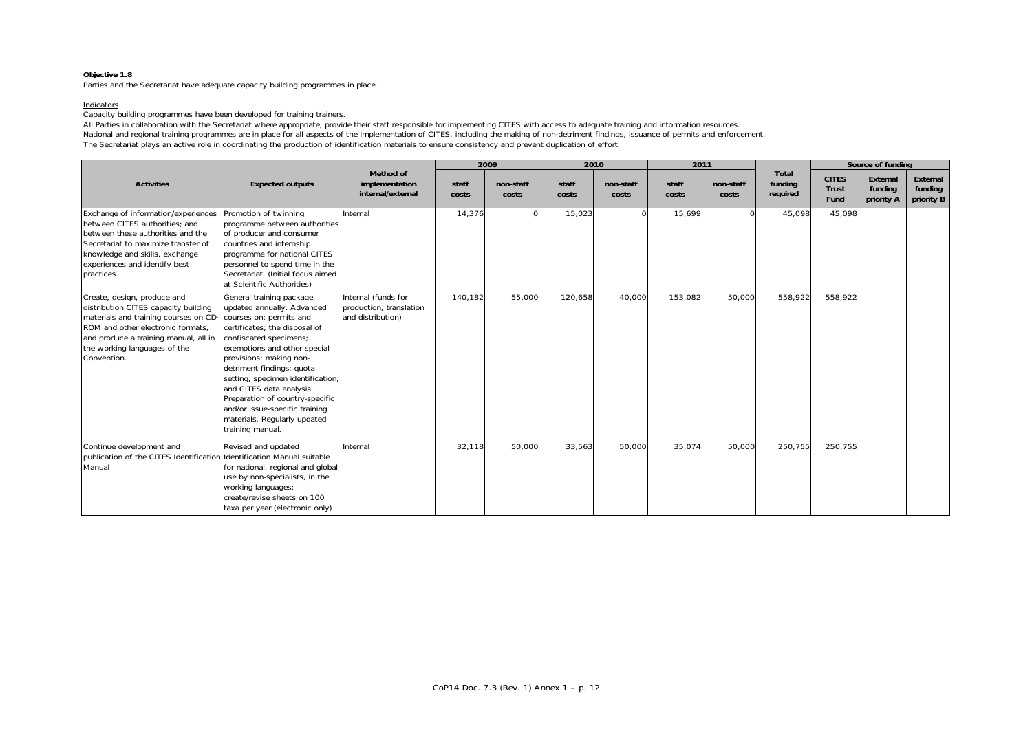Parties and the Secretariat have adequate capacity building programmes in place.

#### Indicators

Capacity building programmes have been developed for training trainers.

All Parties in collaboration with the Secretariat where appropriate, provide their staff responsible for implementing CITES with access to adequate training and information resources. National and regional training programmes are in place for all aspects of the implementation of CITES, including the making of non-detriment findings, issuance of permits and enforcement. The Secretariat plays an active role in coordinating the production of identification materials to ensure consistency and prevent duplication of effort.

|                                                                                                                                                                                                                                          |                                                                                                                                                                                                                                                                                                                                                                                                                                 |                                                                     |                | 2009               |                | 2010               | 2011           |                    |                                     |                                      | Source of funding                 |                                   |
|------------------------------------------------------------------------------------------------------------------------------------------------------------------------------------------------------------------------------------------|---------------------------------------------------------------------------------------------------------------------------------------------------------------------------------------------------------------------------------------------------------------------------------------------------------------------------------------------------------------------------------------------------------------------------------|---------------------------------------------------------------------|----------------|--------------------|----------------|--------------------|----------------|--------------------|-------------------------------------|--------------------------------------|-----------------------------------|-----------------------------------|
| <b>Activities</b>                                                                                                                                                                                                                        | <b>Expected outputs</b>                                                                                                                                                                                                                                                                                                                                                                                                         | Method of<br>implementation<br>internal/external                    | staff<br>costs | non-staff<br>costs | staff<br>costs | non-staff<br>costs | staff<br>costs | non-staff<br>costs | <b>Total</b><br>funding<br>required | <b>CITES</b><br><b>Trust</b><br>Fund | External<br>funding<br>priority A | External<br>funding<br>priority B |
| Exchange of information/experiences<br>between CITES authorities: and<br>between these authorities and the<br>Secretariat to maximize transfer of<br>knowledge and skills, exchange<br>experiences and identify best<br>practices.       | Promotion of twinning<br>programme between authorities<br>of producer and consumer<br>countries and internship<br>programme for national CITES<br>personnel to spend time in the<br>Secretariat. (Initial focus aimed<br>at Scientific Authorities)                                                                                                                                                                             | Internal                                                            | 14,376         |                    | 15,023         | $\Omega$           | 15,699         |                    | 45,098                              | 45,098                               |                                   |                                   |
| Create, design, produce and<br>distribution CITES capacity building<br>materials and training courses on CD<br>ROM and other electronic formats.<br>and produce a training manual, all in<br>the working languages of the<br>Convention. | General training package,<br>updated annually. Advanced<br>courses on: permits and<br>certificates; the disposal of<br>confiscated specimens;<br>exemptions and other special<br>provisions; making non-<br>detriment findings; quota<br>setting; specimen identification;<br>and CITES data analysis.<br>Preparation of country-specific<br>and/or issue-specific training<br>materials. Regularly updated<br>training manual. | Internal (funds for<br>production, translation<br>and distribution) | 140,182        | 55,000             | 120,658        | 40,000             | 153,082        | 50,000             | 558,922                             | 558,922                              |                                   |                                   |
| Continue development and<br>publication of the CITES Identification<br>Manual                                                                                                                                                            | Revised and updated<br>Identification Manual suitable<br>for national, regional and global<br>use by non-specialists, in the<br>working languages;<br>create/revise sheets on 100<br>taxa per year (electronic only)                                                                                                                                                                                                            | Internal                                                            | 32,118         | 50,000             | 33,563         | 50,000             | 35,074         | 50,000             | 250,755                             | 250,755                              |                                   |                                   |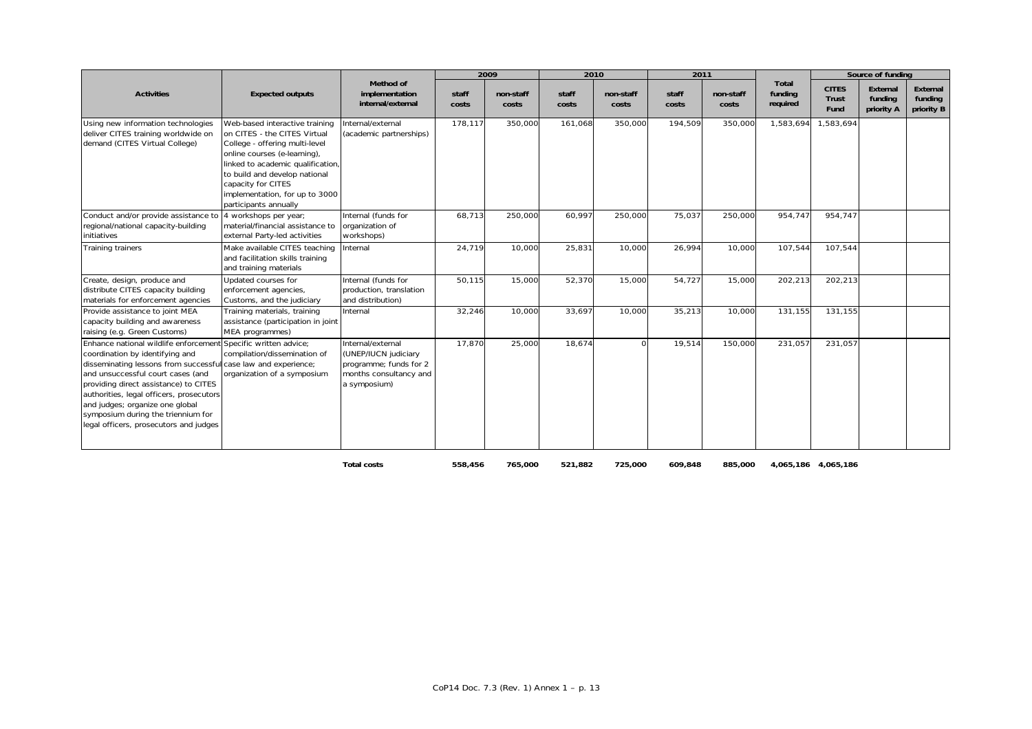|                                                                                                                                                                                                                                                                                                                                                                                                                  |                                                                                                                                                                                                                                                                                        |                                                                                                               |                | 2009               | 2010           |                    | 2011           |                    |                              |                                      | Source of funding                 |                                   |
|------------------------------------------------------------------------------------------------------------------------------------------------------------------------------------------------------------------------------------------------------------------------------------------------------------------------------------------------------------------------------------------------------------------|----------------------------------------------------------------------------------------------------------------------------------------------------------------------------------------------------------------------------------------------------------------------------------------|---------------------------------------------------------------------------------------------------------------|----------------|--------------------|----------------|--------------------|----------------|--------------------|------------------------------|--------------------------------------|-----------------------------------|-----------------------------------|
| <b>Activities</b>                                                                                                                                                                                                                                                                                                                                                                                                | <b>Expected outputs</b>                                                                                                                                                                                                                                                                | Method of<br>implementation<br>internal/external                                                              | staff<br>costs | non-staff<br>costs | staff<br>costs | non-staff<br>costs | staff<br>costs | non-staff<br>costs | Total<br>funding<br>required | <b>CITES</b><br><b>Trust</b><br>Fund | External<br>funding<br>priority A | External<br>funding<br>priority B |
| Using new information technologies<br>deliver CITES training worldwide on<br>demand (CITES Virtual College)                                                                                                                                                                                                                                                                                                      | Web-based interactive training<br>on CITES - the CITES Virtual<br>College - offering multi-level<br>online courses (e-learning),<br>linked to academic qualification<br>to build and develop national<br>capacity for CITES<br>implementation, for up to 3000<br>participants annually | Internal/external<br>(academic partnerships)                                                                  | 178,117        | 350,000            | 161,068        | 350,000            | 194,509        | 350,000            | 1,583,694                    | ,583,694                             |                                   |                                   |
| Conduct and/or provide assistance to<br>regional/national capacity-building<br>initiatives                                                                                                                                                                                                                                                                                                                       | 4 workshops per year;<br>material/financial assistance to<br>external Party-led activities                                                                                                                                                                                             | Internal (funds for<br>organization of<br>workshops)                                                          | 68,713         | 250,000            | 60,997         | 250,000            | 75,037         | 250,000            | 954,747                      | 954,747                              |                                   |                                   |
| Training trainers                                                                                                                                                                                                                                                                                                                                                                                                | Make available CITES teaching<br>and facilitation skills training<br>and training materials                                                                                                                                                                                            | Internal                                                                                                      | 24,719         | 10,000             | 25,831         | 10,000             | 26,994         | 10,000             | 107,544                      | 107,544                              |                                   |                                   |
| Create, design, produce and<br>distribute CITES capacity building<br>materials for enforcement agencies                                                                                                                                                                                                                                                                                                          | Updated courses for<br>enforcement agencies,<br>Customs, and the judiciary                                                                                                                                                                                                             | Internal (funds for<br>production, translation<br>and distribution)                                           | 50,115         | 15,000             | 52,370         | 15,000             | 54,727         | 15,000             | 202,213                      | 202,213                              |                                   |                                   |
| Provide assistance to joint MEA<br>capacity building and awareness<br>raising (e.g. Green Customs)                                                                                                                                                                                                                                                                                                               | Training materials, training<br>assistance (participation in joint<br>MEA programmes)                                                                                                                                                                                                  | Internal                                                                                                      | 32,246         | 10,000             | 33,697         | 10,000             | 35,213         | 10,000             | 131,155                      | 131,155                              |                                   |                                   |
| Enhance national wildlife enforcement Specific written advice:<br>coordination by identifying and<br>disseminating lessons from successful case law and experience;<br>and unsuccessful court cases (and<br>providing direct assistance) to CITES<br>authorities, legal officers, prosecutors<br>and judges; organize one global<br>symposium during the triennium for<br>legal officers, prosecutors and judges | compilation/dissemination of<br>organization of a symposium                                                                                                                                                                                                                            | Internal/external<br>(UNEP/IUCN judiciary<br>programme; funds for 2<br>months consultancy and<br>a symposium) | 17.870         | 25,000             | 18,674         |                    | 19,514         | 150,000            | 231,057                      | 231.057                              |                                   |                                   |

**Total costs 558,456 765,000 521,882 725,000 609,848 885,000 4,065,186 4,065,186**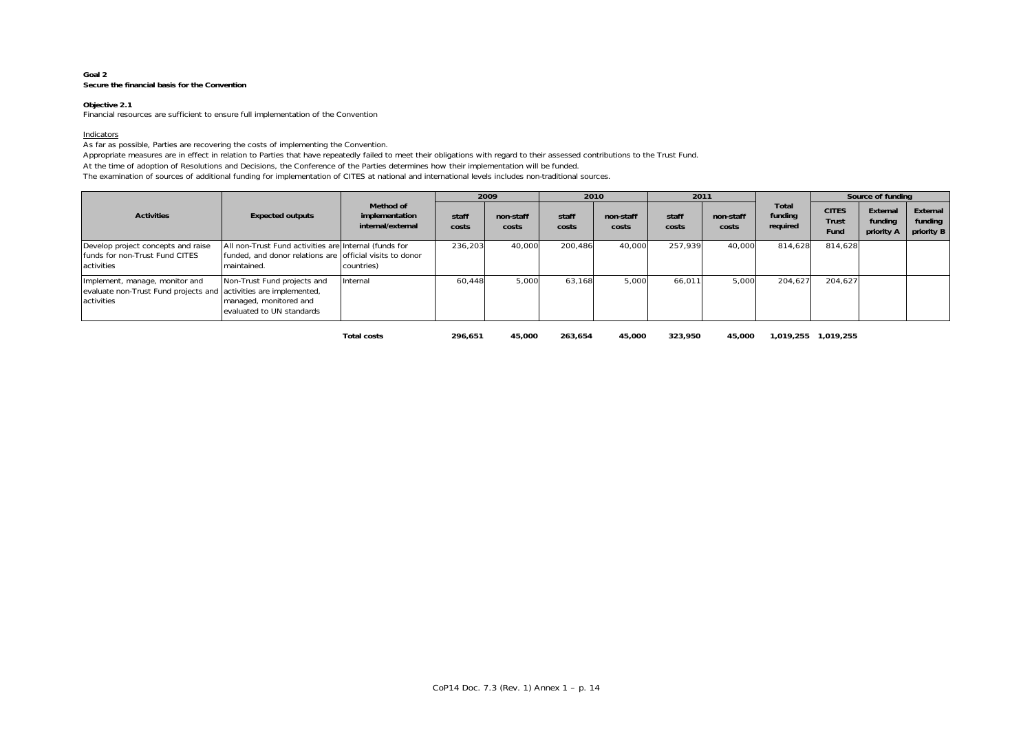#### **Goal 2Secure the financial basis for the Convention**

### **Objective 2.1**

Financial resources are sufficient to ensure full implementation of the Convention

#### <u>Indicators</u>

As far as possible, Parties are recovering the costs of implementing the Convention.

Appropriate measures are in effect in relation to Parties that have repeatedly failed to meet their obligations with regard to their assessed contributions to the Trust Fund.

At the time of adoption of Resolutions and Decisions, the Conference of the Parties determines how their implementation will be funded.

The examination of sources of additional funding for implementation of CITES at national and international levels includes non-traditional sources.

|                                                                                                                  |                                                                                                                                  |                                                  |                | 2009               |                | 2010               | 2011           |                    |                              |                                      | Source of funding                 |                                   |
|------------------------------------------------------------------------------------------------------------------|----------------------------------------------------------------------------------------------------------------------------------|--------------------------------------------------|----------------|--------------------|----------------|--------------------|----------------|--------------------|------------------------------|--------------------------------------|-----------------------------------|-----------------------------------|
| <b>Activities</b>                                                                                                | <b>Expected outputs</b>                                                                                                          | Method of<br>implementation<br>internal/external | staff<br>costs | non-staff<br>costs | staff<br>costs | non-staff<br>costs | staff<br>costs | non-staff<br>costs | Total<br>funding<br>required | <b>CITES</b><br><b>Trust</b><br>Fund | External<br>funding<br>priority A | External<br>funding<br>priority B |
| Develop project concepts and raise<br>funds for non-Trust Fund CITES<br>activities                               | All non-Trust Fund activities are Internal (funds for<br>funded, and donor relations are official visits to donor<br>maintained. | countries)                                       | 236,203        | 40,000             | 200,486        | 40,000             | 257,939        | 40,000             | 814.628                      | 814.628                              |                                   |                                   |
| Implement, manage, monitor and<br>evaluate non-Trust Fund projects and activities are implemented,<br>activities | Non-Trust Fund projects and<br>managed, monitored and<br>evaluated to UN standards                                               | Internal                                         | 60.448         | 5,000              | 63,168         | 5,000              | 66,011         | 5,000              | 204,627                      | 204,627                              |                                   |                                   |

**Total costs 296,651 45,000 263,654 45,000 323,950 45,000 1,019,255 1,019,255**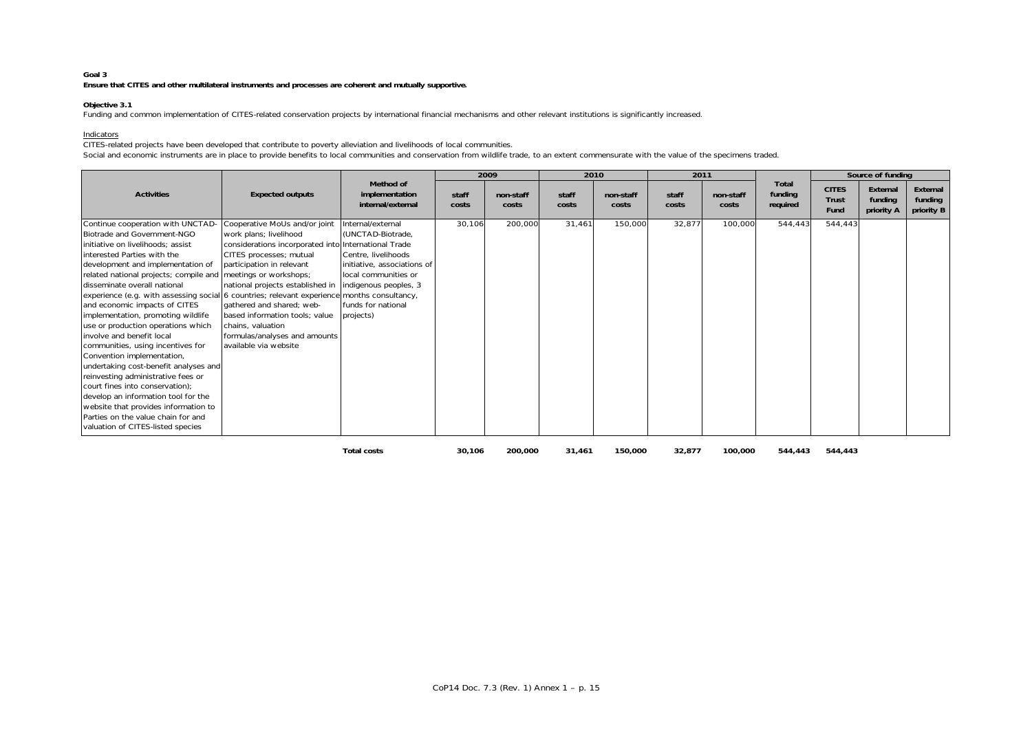### **Goal 3**

**Ensure that CITES and other multilateral instruments and processes are coherent and mutually supportive.**

#### **Objective 3.1**

Funding and common implementation of CITES-related conservation projects by international financial mechanisms and other relevant institutions is significantly increased.

### Indicators

CITES-related projects have been developed that contribute to poverty alleviation and livelihoods of local communities.

Social and economic instruments are in place to provide benefits to local communities and conservation from wildlife trade, to an extent commensurate with the value of the specimens traded.

|                                                                                                                                                                                                                                                                                                                                                                                                                                                                                                                                                                                                                                                                                                                             |                                                                                                                                                                                                                                                                                                                                                           |                                                                                                                                                                                                         |                | 2009               | 2010           |                    | 2011           |                    |                              |                                             | Source of funding                 |                                   |
|-----------------------------------------------------------------------------------------------------------------------------------------------------------------------------------------------------------------------------------------------------------------------------------------------------------------------------------------------------------------------------------------------------------------------------------------------------------------------------------------------------------------------------------------------------------------------------------------------------------------------------------------------------------------------------------------------------------------------------|-----------------------------------------------------------------------------------------------------------------------------------------------------------------------------------------------------------------------------------------------------------------------------------------------------------------------------------------------------------|---------------------------------------------------------------------------------------------------------------------------------------------------------------------------------------------------------|----------------|--------------------|----------------|--------------------|----------------|--------------------|------------------------------|---------------------------------------------|-----------------------------------|-----------------------------------|
| <b>Activities</b>                                                                                                                                                                                                                                                                                                                                                                                                                                                                                                                                                                                                                                                                                                           | <b>Expected outputs</b>                                                                                                                                                                                                                                                                                                                                   | Method of<br>implementation<br>internal/external                                                                                                                                                        | staff<br>costs | non-staff<br>costs | staff<br>costs | non-staff<br>costs | staff<br>costs | non-staff<br>costs | Total<br>funding<br>required | <b>CITES</b><br><b>Trust</b><br><b>Fund</b> | External<br>funding<br>priority A | External<br>funding<br>priority B |
| Continue cooperation with UNCTAD-<br>Biotrade and Government-NGO<br>initiative on livelihoods; assist<br>interested Parties with the<br>development and implementation of<br>related national projects; compile and meetings or workshops;<br>disseminate overall national<br>experience (e.g. with assessing social 6 countries; relevant experience<br>and economic impacts of CITES<br>implementation, promoting wildlife<br>use or production operations which<br>involve and benefit local<br>communities, using incentives for<br>Convention implementation,<br>undertaking cost-benefit analyses and<br>reinvesting administrative fees or<br>court fines into conservation);<br>develop an information tool for the | Cooperative MoUs and/or joint<br>work plans; livelihood<br>considerations incorporated into International Trade<br>CITES processes; mutual<br>participation in relevant<br>national projects established in<br>gathered and shared: web-<br>based information tools: value<br>chains, valuation<br>formulas/analyses and amounts<br>available via website | Internal/external<br>(UNCTAD-Biotrade,<br>Centre, livelihoods<br>initiative, associations of<br>local communities or<br>indigenous peoples, 3<br>months consultancy,<br>funds for national<br>projects) | 30,106         | 200,000            | 31,461         | 150,000            | 32,877         | 100,000            | 544,443                      | 544,443                                     |                                   |                                   |
| website that provides information to<br>Parties on the value chain for and<br>valuation of CITES-listed species                                                                                                                                                                                                                                                                                                                                                                                                                                                                                                                                                                                                             |                                                                                                                                                                                                                                                                                                                                                           |                                                                                                                                                                                                         |                |                    |                |                    |                |                    |                              |                                             |                                   |                                   |
|                                                                                                                                                                                                                                                                                                                                                                                                                                                                                                                                                                                                                                                                                                                             |                                                                                                                                                                                                                                                                                                                                                           | <b>Total costs</b>                                                                                                                                                                                      | 30,106         | 200,000            | 31,461         | 150,000            | 32,877         | 100,000            | 544,443                      | 544,443                                     |                                   |                                   |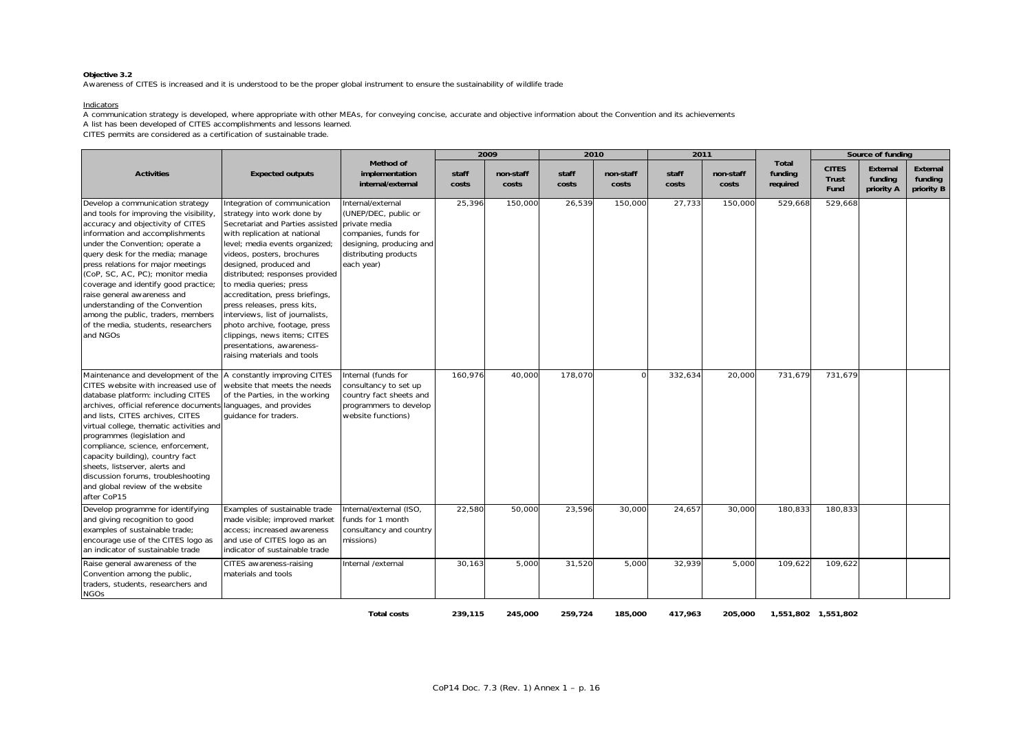Awareness of CITES is increased and it is understood to be the proper global instrument to ensure the sustainability of wildlife trade

#### Indicators

A communication strategy is developed, where appropriate with other MEAs, for conveying concise, accurate and objective information about the Convention and its achievements

A list has been developed of CITES accomplishments and lessons learned.

CITES permits are considered as a certification of sustainable trade.

|                                                                                                                                                                                                                                                                                                                                                                                                                                                                                                         |                                                                                                                                                                                                                                                                                                                                                                                                                                                                                                                           |                                                                                                                                                       |                | 2009               | 2010           |                    | 2011           |                    |                              |                               | Source of funding                 |                                   |
|---------------------------------------------------------------------------------------------------------------------------------------------------------------------------------------------------------------------------------------------------------------------------------------------------------------------------------------------------------------------------------------------------------------------------------------------------------------------------------------------------------|---------------------------------------------------------------------------------------------------------------------------------------------------------------------------------------------------------------------------------------------------------------------------------------------------------------------------------------------------------------------------------------------------------------------------------------------------------------------------------------------------------------------------|-------------------------------------------------------------------------------------------------------------------------------------------------------|----------------|--------------------|----------------|--------------------|----------------|--------------------|------------------------------|-------------------------------|-----------------------------------|-----------------------------------|
| <b>Activities</b>                                                                                                                                                                                                                                                                                                                                                                                                                                                                                       | <b>Expected outputs</b>                                                                                                                                                                                                                                                                                                                                                                                                                                                                                                   | Method of<br>implementation<br>internal/external                                                                                                      | staff<br>costs | non-staff<br>costs | staff<br>costs | non-staff<br>costs | staff<br>costs | non-staff<br>costs | Total<br>funding<br>required | <b>CITES</b><br>Trust<br>Fund | External<br>funding<br>priority A | External<br>funding<br>priority B |
| Develop a communication strategy<br>and tools for improving the visibility,<br>accuracy and objectivity of CITES<br>information and accomplishments<br>under the Convention; operate a<br>query desk for the media; manage<br>press relations for major meetings<br>(CoP, SC, AC, PC); monitor media<br>coverage and identify good practice;<br>raise general awareness and<br>understanding of the Convention<br>among the public, traders, members<br>of the media, students, researchers<br>and NGOs | Integration of communication<br>strategy into work done by<br>Secretariat and Parties assisted<br>with replication at national<br>level; media events organized;<br>videos, posters, brochures<br>designed, produced and<br>distributed; responses provided<br>to media queries; press<br>accreditation, press briefings,<br>press releases, press kits,<br>interviews, list of journalists,<br>photo archive, footage, press<br>clippings, news items; CITES<br>presentations, awareness-<br>raising materials and tools | Internal/external<br>(UNEP/DEC, public or<br>private media<br>companies, funds for<br>designing, producing and<br>distributing products<br>each year) | 25,396         | 150,000            | 26,539         | 150,000            | 27,733         | 150,000            | 529,668                      | 529,668                       |                                   |                                   |
| Maintenance and development of the<br>CITES website with increased use of<br>database platform: including CITES<br>archives, official reference documents languages, and provides<br>and lists, CITES archives, CITES<br>virtual college, thematic activities and<br>programmes (legislation and<br>compliance, science, enforcement,<br>capacity building), country fact<br>sheets, listserver, alerts and<br>discussion forums, troubleshooting<br>and global review of the website<br>after CoP15    | A constantly improving CITES<br>website that meets the needs<br>of the Parties, in the working<br>quidance for traders.                                                                                                                                                                                                                                                                                                                                                                                                   | Internal (funds for<br>consultancy to set up<br>country fact sheets and<br>programmers to develop<br>website functions)                               | 160.976        | 40,000             | 178.070        | $\cap$             | 332,634        | 20,000             | 731,679                      | 731.679                       |                                   |                                   |
| Develop programme for identifying<br>and giving recognition to good<br>examples of sustainable trade;<br>encourage use of the CITES logo as<br>an indicator of sustainable trade                                                                                                                                                                                                                                                                                                                        | Examples of sustainable trade<br>made visible; improved market<br>access; increased awareness<br>and use of CITES logo as an<br>indicator of sustainable trade                                                                                                                                                                                                                                                                                                                                                            | Internal/external (ISO,<br>funds for 1 month<br>consultancy and country<br>missions)                                                                  | 22,580         | 50,000             | 23,596         | 30.000             | 24,657         | 30,000             | 180.833                      | 180.833                       |                                   |                                   |
| Raise general awareness of the<br>Convention among the public,<br>traders, students, researchers and<br><b>NGOs</b>                                                                                                                                                                                                                                                                                                                                                                                     | CITES awareness-raising<br>materials and tools                                                                                                                                                                                                                                                                                                                                                                                                                                                                            | Internal /external                                                                                                                                    | 30,163         | 5,000              | 31,520         | 5,000              | 32,939         | 5,000              | 109,622                      | 109,622                       |                                   |                                   |

**Total costs 239,115 245,000 259,724 185,000 417,963 205,000 1,551,802 1,551,802**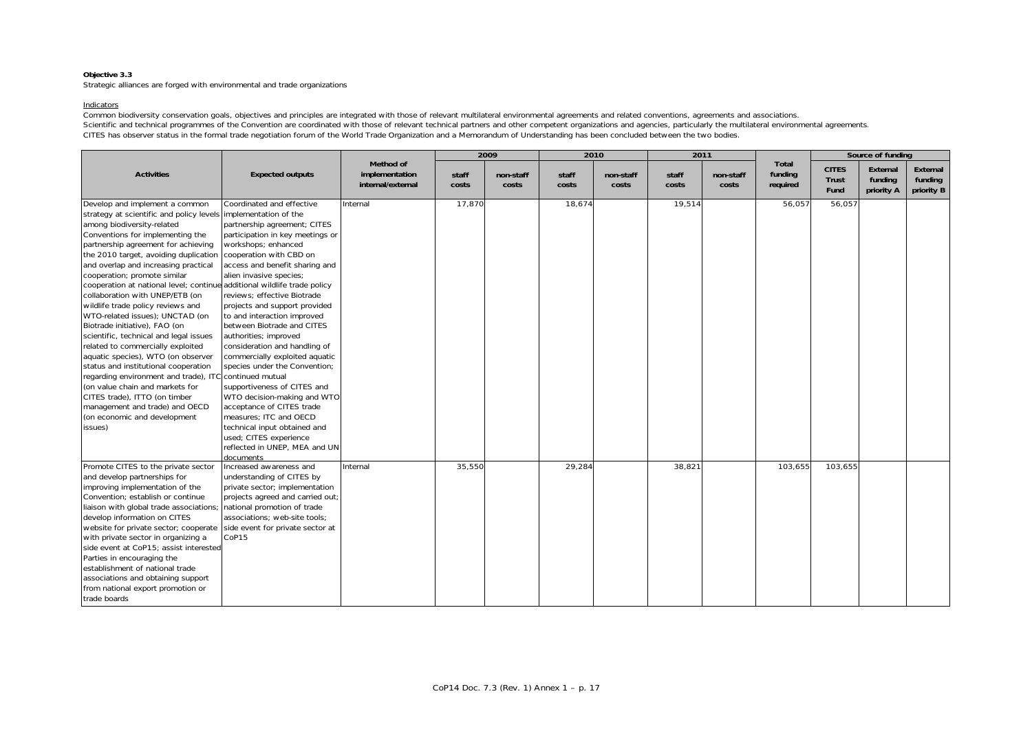Strategic alliances are forged with environmental and trade organizations

#### Indicators

Common biodiversity conservation goals, objectives and principles are integrated with those of relevant multilateral environmental agreements and related conventions, agreements and associations. Scientific and technical programmes of the Convention are coordinated with those of relevant technical partners and other competent organizations and agencies, particularly the multilateral environmental agreements. CITES has observer status in the formal trade negotiation forum of the World Trade Organization and a Memorandum of Understanding has been concluded between the two bodies.

|                                                                          |                                  |                                                  |                | 2009               | 2010           |                    | 2011           |                    |                              |                                      | Source of funding                 |                                   |
|--------------------------------------------------------------------------|----------------------------------|--------------------------------------------------|----------------|--------------------|----------------|--------------------|----------------|--------------------|------------------------------|--------------------------------------|-----------------------------------|-----------------------------------|
| <b>Activities</b>                                                        | <b>Expected outputs</b>          | Method of<br>implementation<br>internal/external | staff<br>costs | non-staff<br>costs | staff<br>costs | non-staff<br>costs | staff<br>costs | non-staff<br>costs | Total<br>funding<br>required | <b>CITES</b><br><b>Trust</b><br>Fund | External<br>funding<br>priority A | External<br>funding<br>priority B |
| Develop and implement a common                                           | Coordinated and effective        | Internal                                         | 17,870         |                    | 18,674         |                    | 19,514         |                    | 56,057                       | 56,057                               |                                   |                                   |
| strategy at scientific and policy levels implementation of the           |                                  |                                                  |                |                    |                |                    |                |                    |                              |                                      |                                   |                                   |
| among biodiversity-related                                               | partnership agreement; CITES     |                                                  |                |                    |                |                    |                |                    |                              |                                      |                                   |                                   |
| Conventions for implementing the                                         | participation in key meetings or |                                                  |                |                    |                |                    |                |                    |                              |                                      |                                   |                                   |
| partnership agreement for achieving                                      | workshops; enhanced              |                                                  |                |                    |                |                    |                |                    |                              |                                      |                                   |                                   |
| the 2010 target, avoiding duplication                                    | cooperation with CBD on          |                                                  |                |                    |                |                    |                |                    |                              |                                      |                                   |                                   |
| and overlap and increasing practical                                     | access and benefit sharing and   |                                                  |                |                    |                |                    |                |                    |                              |                                      |                                   |                                   |
| cooperation; promote similar                                             | alien invasive species;          |                                                  |                |                    |                |                    |                |                    |                              |                                      |                                   |                                   |
| cooperation at national level; continue additional wildlife trade policy |                                  |                                                  |                |                    |                |                    |                |                    |                              |                                      |                                   |                                   |
| collaboration with UNEP/ETB (on                                          | reviews; effective Biotrade      |                                                  |                |                    |                |                    |                |                    |                              |                                      |                                   |                                   |
| wildlife trade policy reviews and                                        | projects and support provided    |                                                  |                |                    |                |                    |                |                    |                              |                                      |                                   |                                   |
| WTO-related issues); UNCTAD (on                                          | to and interaction improved      |                                                  |                |                    |                |                    |                |                    |                              |                                      |                                   |                                   |
| Biotrade initiative), FAO (on                                            | between Biotrade and CITES       |                                                  |                |                    |                |                    |                |                    |                              |                                      |                                   |                                   |
| scientific, technical and legal issues                                   | authorities; improved            |                                                  |                |                    |                |                    |                |                    |                              |                                      |                                   |                                   |
| related to commercially exploited                                        | consideration and handling of    |                                                  |                |                    |                |                    |                |                    |                              |                                      |                                   |                                   |
| aquatic species), WTO (on observer                                       | commercially exploited aquatic   |                                                  |                |                    |                |                    |                |                    |                              |                                      |                                   |                                   |
| status and institutional cooperation                                     | species under the Convention;    |                                                  |                |                    |                |                    |                |                    |                              |                                      |                                   |                                   |
| regarding environment and trade), ITC continued mutual                   |                                  |                                                  |                |                    |                |                    |                |                    |                              |                                      |                                   |                                   |
| (on value chain and markets for                                          | supportiveness of CITES and      |                                                  |                |                    |                |                    |                |                    |                              |                                      |                                   |                                   |
| CITES trade), ITTO (on timber                                            | WTO decision-making and WTO      |                                                  |                |                    |                |                    |                |                    |                              |                                      |                                   |                                   |
| management and trade) and OECD                                           | acceptance of CITES trade        |                                                  |                |                    |                |                    |                |                    |                              |                                      |                                   |                                   |
| (on economic and development                                             | measures; ITC and OECD           |                                                  |                |                    |                |                    |                |                    |                              |                                      |                                   |                                   |
| issues)                                                                  | technical input obtained and     |                                                  |                |                    |                |                    |                |                    |                              |                                      |                                   |                                   |
|                                                                          | used; CITES experience           |                                                  |                |                    |                |                    |                |                    |                              |                                      |                                   |                                   |
|                                                                          | reflected in UNEP, MEA and UN    |                                                  |                |                    |                |                    |                |                    |                              |                                      |                                   |                                   |
|                                                                          | documents                        |                                                  |                |                    |                |                    |                |                    |                              |                                      |                                   |                                   |
| Promote CITES to the private sector                                      | Increased awareness and          | Internal                                         | 35,550         |                    | 29,284         |                    | 38,821         |                    | 103,655                      | 103,655                              |                                   |                                   |
| and develop partnerships for                                             | understanding of CITES by        |                                                  |                |                    |                |                    |                |                    |                              |                                      |                                   |                                   |
| improving implementation of the                                          | private sector; implementation   |                                                  |                |                    |                |                    |                |                    |                              |                                      |                                   |                                   |
| Convention; establish or continue                                        | projects agreed and carried out  |                                                  |                |                    |                |                    |                |                    |                              |                                      |                                   |                                   |
| liaison with global trade associations;                                  | national promotion of trade      |                                                  |                |                    |                |                    |                |                    |                              |                                      |                                   |                                   |
| develop information on CITES                                             | associations; web-site tools;    |                                                  |                |                    |                |                    |                |                    |                              |                                      |                                   |                                   |
| website for private sector; cooperate                                    | side event for private sector at |                                                  |                |                    |                |                    |                |                    |                              |                                      |                                   |                                   |
| with private sector in organizing a                                      | CoP15                            |                                                  |                |                    |                |                    |                |                    |                              |                                      |                                   |                                   |
| side event at CoP15; assist interested                                   |                                  |                                                  |                |                    |                |                    |                |                    |                              |                                      |                                   |                                   |
| Parties in encouraging the                                               |                                  |                                                  |                |                    |                |                    |                |                    |                              |                                      |                                   |                                   |
| establishment of national trade                                          |                                  |                                                  |                |                    |                |                    |                |                    |                              |                                      |                                   |                                   |
| associations and obtaining support                                       |                                  |                                                  |                |                    |                |                    |                |                    |                              |                                      |                                   |                                   |
| from national export promotion or                                        |                                  |                                                  |                |                    |                |                    |                |                    |                              |                                      |                                   |                                   |
| trade boards                                                             |                                  |                                                  |                |                    |                |                    |                |                    |                              |                                      |                                   |                                   |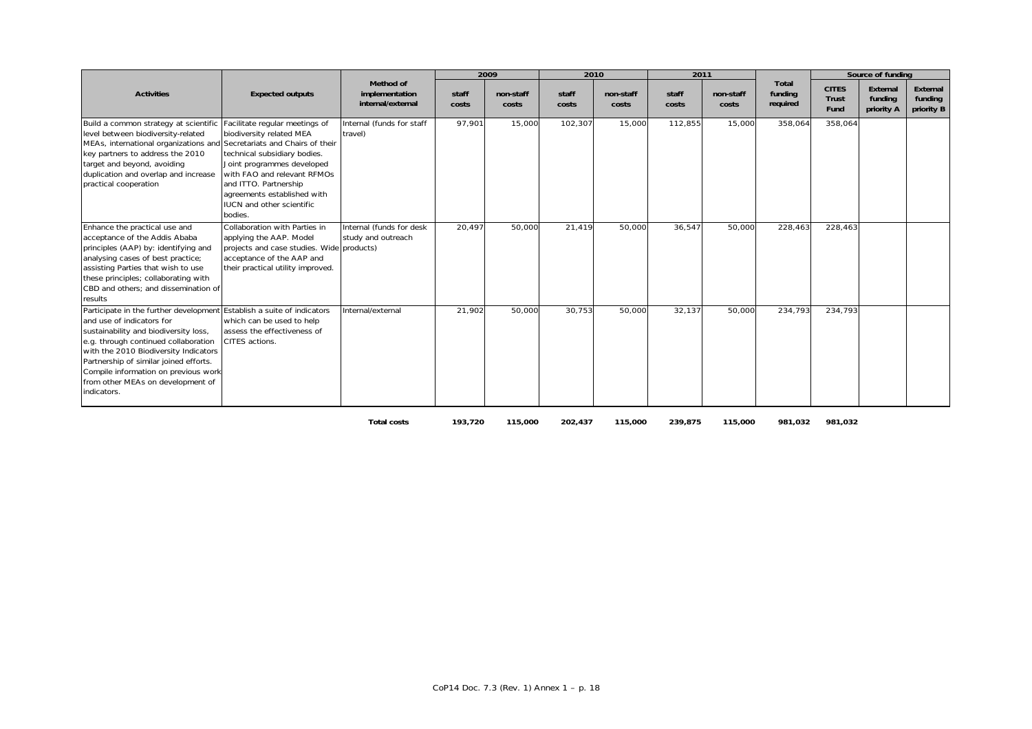|                                                                                                                                                                                                                                                                                                                                                                     |                                                                                                                                                                                                                              |                                                  |                | 2009               | 2010           |                    | 2011           |                    |                              |                               | Source of funding                 |                                   |
|---------------------------------------------------------------------------------------------------------------------------------------------------------------------------------------------------------------------------------------------------------------------------------------------------------------------------------------------------------------------|------------------------------------------------------------------------------------------------------------------------------------------------------------------------------------------------------------------------------|--------------------------------------------------|----------------|--------------------|----------------|--------------------|----------------|--------------------|------------------------------|-------------------------------|-----------------------------------|-----------------------------------|
| <b>Activities</b>                                                                                                                                                                                                                                                                                                                                                   | <b>Expected outputs</b>                                                                                                                                                                                                      | Method of<br>implementation<br>internal/external | staff<br>costs | non-staff<br>costs | staff<br>costs | non-staff<br>costs | staff<br>costs | non-staff<br>costs | Total<br>funding<br>required | <b>CITES</b><br>Trust<br>Fund | External<br>funding<br>priority A | External<br>funding<br>priority B |
| Build a common strategy at scientific Facilitate regular meetings of<br>level between biodiversity-related<br>MEAs, international organizations and Secretariats and Chairs of their<br>key partners to address the 2010<br>target and beyond, avoiding<br>duplication and overlap and increase<br>practical cooperation                                            | biodiversity related MEA<br>technical subsidiary bodies.<br>Joint programmes developed<br>with FAO and relevant RFMOs<br>and ITTO. Partnership<br>agreements established with<br><b>IUCN</b> and other scientific<br>bodies. | Internal (funds for staff<br>travel)             | 97,901         | 15,000             | 102,307        | 15,000             | 112,855        | 15,000             | 358,064                      | 358,064                       |                                   |                                   |
| Enhance the practical use and<br>acceptance of the Addis Ababa<br>principles (AAP) by: identifying and<br>analysing cases of best practice;<br>assisting Parties that wish to use<br>these principles; collaborating with<br>CBD and others: and dissemination of<br>results                                                                                        | Collaboration with Parties in<br>applying the AAP. Model<br>projects and case studies. Wide products)<br>acceptance of the AAP and<br>their practical utility improved.                                                      | Internal (funds for desk<br>study and outreach   | 20,497         | 50,000             | 21,419         | 50,000             | 36,547         | 50,000             | 228,463                      | 228,463                       |                                   |                                   |
| Participate in the further development Establish a suite of indicators<br>and use of indicators for<br>sustainability and biodiversity loss,<br>e.g. through continued collaboration<br>with the 2010 Biodiversity Indicators<br>Partnership of similar joined efforts.<br>Compile information on previous work<br>from other MEAs on development of<br>indicators. | which can be used to help<br>assess the effectiveness of<br>CITES actions.                                                                                                                                                   | Internal/external                                | 21,902         | 50,000             | 30,753         | 50,000             | 32,137         | 50,000             | 234,793                      | 234,793                       |                                   |                                   |

**Total costs 193,720 115,000 202,437 115,000 239,875 115,000 981,032 981,032**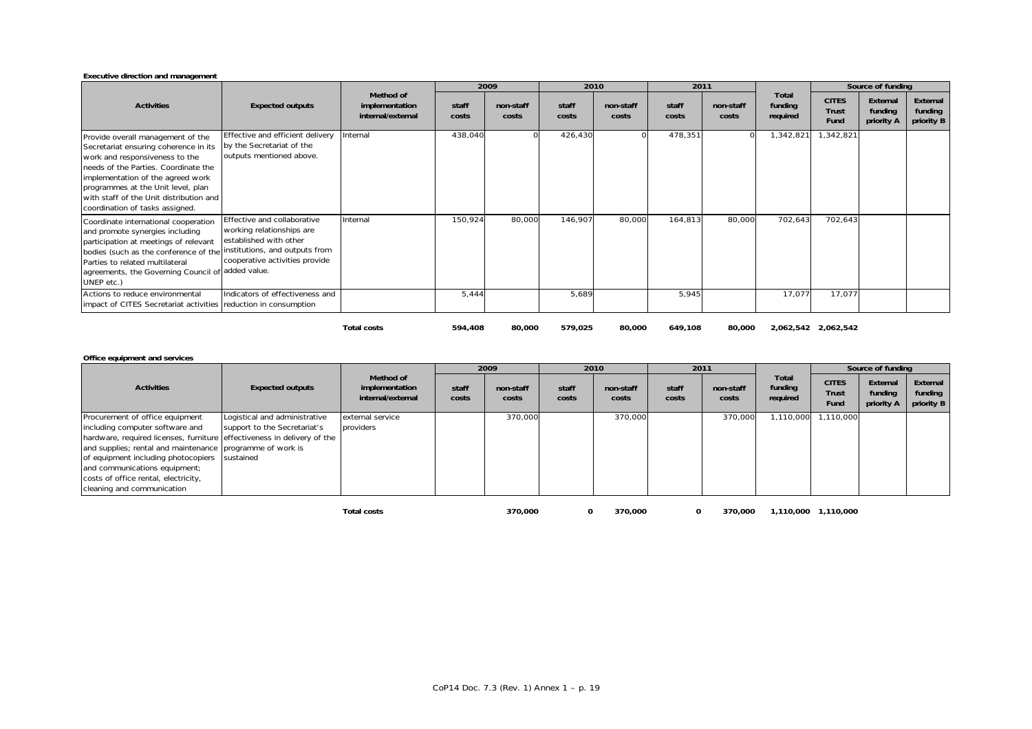| Executive direction and management                                                                                                                                                                                                                                                                            |                                                                                                                      |                                                  |                |                    |                |                    |                |                    |                              |                                      |                                   |                                   |
|---------------------------------------------------------------------------------------------------------------------------------------------------------------------------------------------------------------------------------------------------------------------------------------------------------------|----------------------------------------------------------------------------------------------------------------------|--------------------------------------------------|----------------|--------------------|----------------|--------------------|----------------|--------------------|------------------------------|--------------------------------------|-----------------------------------|-----------------------------------|
|                                                                                                                                                                                                                                                                                                               |                                                                                                                      |                                                  |                | 2009               |                | 2010               | 2011           |                    |                              |                                      | Source of funding                 |                                   |
| <b>Activities</b>                                                                                                                                                                                                                                                                                             | <b>Expected outputs</b>                                                                                              | Method of<br>implementation<br>internal/external | staff<br>costs | non-staff<br>costs | staff<br>costs | non-staff<br>costs | staff<br>costs | non-staff<br>costs | Total<br>funding<br>required | <b>CITES</b><br><b>Trust</b><br>Fund | External<br>funding<br>priority A | External<br>funding<br>priority B |
| Provide overall management of the<br>Secretariat ensuring coherence in its<br>work and responsiveness to the<br>needs of the Parties. Coordinate the<br>implementation of the agreed work<br>programmes at the Unit level, plan<br>with staff of the Unit distribution and<br>coordination of tasks assigned. | Effective and efficient delivery<br>by the Secretariat of the<br>outputs mentioned above.                            | Internal                                         | 438,040        |                    | 426,430        |                    | 478,351        |                    | 1,342,821                    | 1,342,821                            |                                   |                                   |
| Coordinate international cooperation<br>and promote synergies including<br>participation at meetings of relevant<br>bodies (such as the conference of the institutions, and outputs from<br>Parties to related multilateral<br>agreements, the Governing Council of added value.<br>UNEP etc.)                | Effective and collaborative<br>working relationships are<br>established with other<br>cooperative activities provide | Internal                                         | 150,924        | 80,000             | 146,907        | 80,000             | 164,813        | 80,000             | 702,643                      | 702,643                              |                                   |                                   |
| Actions to reduce environmental<br>impact of CITES Secretariat activities reduction in consumption                                                                                                                                                                                                            | Indicators of effectiveness and                                                                                      |                                                  | 5,444          |                    | 5,689          |                    | 5,945          |                    | 17,077                       | 17,077                               |                                   |                                   |
|                                                                                                                                                                                                                                                                                                               |                                                                                                                      | <b>Total costs</b>                               | 594,408        | 80,000             | 579,025        | 80,000             | 649,108        | 80,000             |                              | 2,062,542 2,062,542                  |                                   |                                   |

### **Office equipment and services**

|                                                                                                                                                                                                                                                                                                                                                                    |                                                               |                                                  |                | 2009               |                | 2010               |                | 2011               |                              |                                      | Source of funding                 |                                   |
|--------------------------------------------------------------------------------------------------------------------------------------------------------------------------------------------------------------------------------------------------------------------------------------------------------------------------------------------------------------------|---------------------------------------------------------------|--------------------------------------------------|----------------|--------------------|----------------|--------------------|----------------|--------------------|------------------------------|--------------------------------------|-----------------------------------|-----------------------------------|
| <b>Activities</b>                                                                                                                                                                                                                                                                                                                                                  | <b>Expected outputs</b>                                       | Method of<br>implementation<br>internal/external | staff<br>costs | non-staff<br>costs | staff<br>costs | non-staff<br>costs | staff<br>costs | non-staff<br>costs | Total<br>funding<br>required | <b>CITES</b><br><b>Trust</b><br>Fund | External<br>funding<br>priority A | External<br>funding<br>priority B |
| Procurement of office equipment<br>including computer software and<br>hardware, required licenses, furniture effectiveness in delivery of the<br>and supplies; rental and maintenance programme of work is<br>of equipment including photocopiers sustained<br>and communications equipment;<br>costs of office rental, electricity,<br>cleaning and communication | Logistical and administrative<br>support to the Secretariat's | external service<br>providers                    |                | 370.000            |                | 370.000            |                | 370,000            | ,110,000                     | 1,110,000                            |                                   |                                   |

**Total costs 370,000 0 370,000 0 370,000 1,110,000 1,110,000**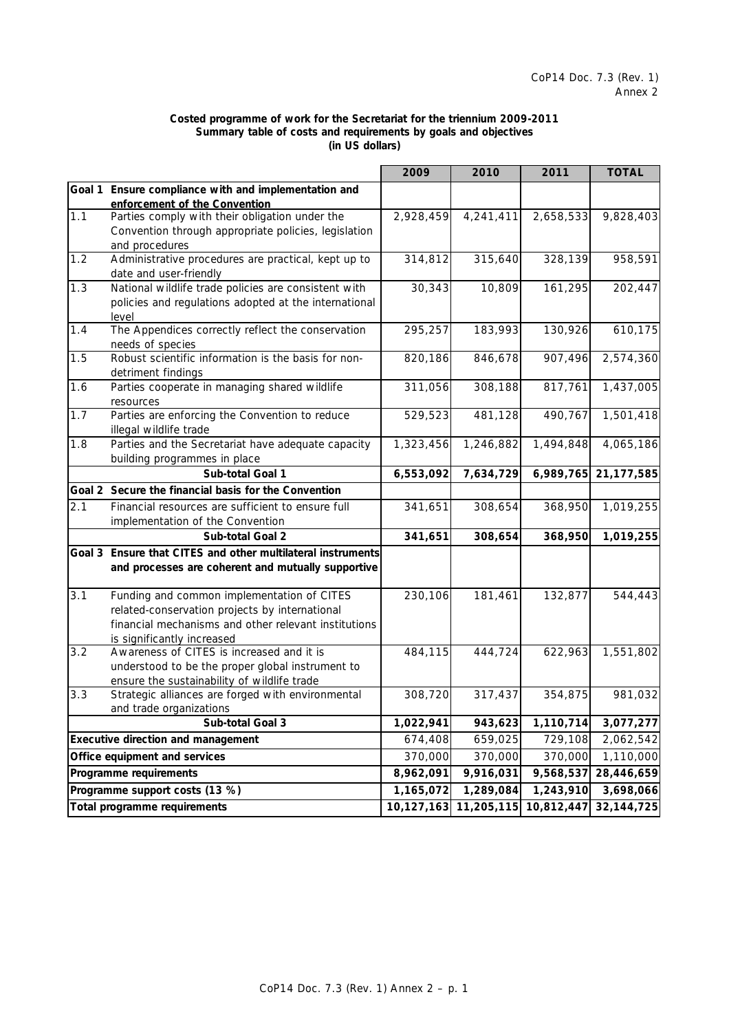## **Costed programme of work for the Secretariat for the triennium 2009-2011 Summary table of costs and requirements by goals and objectives (in US dollars)**

|     |                                                                              | 2009      | 2010                  | 2011       | <b>TOTAL</b> |
|-----|------------------------------------------------------------------------------|-----------|-----------------------|------------|--------------|
|     | Goal 1 Ensure compliance with and implementation and                         |           |                       |            |              |
|     | enforcement of the Convention                                                |           |                       |            |              |
| 1.1 | Parties comply with their obligation under the                               | 2,928,459 | 4,241,411             | 2,658,533  | 9,828,403    |
|     | Convention through appropriate policies, legislation                         |           |                       |            |              |
|     | and procedures                                                               |           |                       |            |              |
| 1.2 | Administrative procedures are practical, kept up to                          | 314,812   | 315,640               | 328,139    | 958,591      |
|     | date and user-friendly                                                       |           |                       |            |              |
| 1.3 | National wildlife trade policies are consistent with                         | 30,343    | 10,809                | 161,295    | 202,447      |
|     | policies and regulations adopted at the international                        |           |                       |            |              |
|     | level                                                                        |           |                       |            |              |
| 1.4 | The Appendices correctly reflect the conservation                            | 295,257   | 183,993               | 130,926    | 610,175      |
|     | needs of species                                                             |           |                       |            |              |
| 1.5 | Robust scientific information is the basis for non-                          | 820,186   | 846,678               | 907,496    | 2,574,360    |
|     | detriment findings                                                           |           |                       |            |              |
| 1.6 | Parties cooperate in managing shared wildlife                                | 311,056   | 308,188               | 817,761    | 1,437,005    |
|     | resources                                                                    |           |                       |            |              |
| 1.7 | Parties are enforcing the Convention to reduce                               | 529,523   | 481,128               | 490,767    | 1,501,418    |
| 1.8 | illegal wildlife trade<br>Parties and the Secretariat have adequate capacity | 1,323,456 | 1,246,882             | 1,494,848  | 4,065,186    |
|     |                                                                              |           |                       |            |              |
|     | building programmes in place<br>Sub-total Goal 1                             |           |                       |            |              |
|     |                                                                              | 6,553,092 | 7,634,729             | 6,989,765  | 21,177,585   |
|     | Goal 2 Secure the financial basis for the Convention                         |           |                       |            |              |
| 2.1 | Financial resources are sufficient to ensure full                            | 341,651   | 308,654               | 368,950    | 1,019,255    |
|     | implementation of the Convention                                             |           |                       |            |              |
|     | Sub-total Goal 2                                                             | 341,651   | 308,654               | 368,950    | 1,019,255    |
|     | Goal 3 Ensure that CITES and other multilateral instruments                  |           |                       |            |              |
|     | and processes are coherent and mutually supportive                           |           |                       |            |              |
|     |                                                                              |           |                       |            |              |
| 3.1 | Funding and common implementation of CITES                                   | 230,106   | 181,461               | 132,877    | 544,443      |
|     | related-conservation projects by international                               |           |                       |            |              |
|     | financial mechanisms and other relevant institutions                         |           |                       |            |              |
|     | is significantly increased                                                   |           |                       |            |              |
| 3.2 | Awareness of CITES is increased and it is                                    | 484,115   | 444,724               | 622,963    | 1,551,802    |
|     | understood to be the proper global instrument to                             |           |                       |            |              |
| 3.3 | ensure the sustainability of wildlife trade                                  | 308,720   |                       | 354,875    |              |
|     | Strategic alliances are forged with environmental<br>and trade organizations |           | 317,437               |            | 981,032      |
|     | Sub-total Goal 3                                                             | 1,022,941 | 943,623               | 1,110,714  | 3,077,277    |
|     |                                                                              |           |                       |            |              |
|     | <b>Executive direction and management</b>                                    | 674,408   | 659,025               | 729,108    | 2,062,542    |
|     | Office equipment and services                                                | 370,000   | 370,000               | 370,000    | 1,110,000    |
|     | Programme requirements                                                       | 8,962,091 | 9,916,031             | 9,568,537  | 28,446,659   |
|     | Programme support costs (13 %)                                               | 1,165,072 | 1,289,084             | 1,243,910  | 3,698,066    |
|     | Total programme requirements                                                 |           | 10,127,163 11,205,115 | 10,812,447 | 32,144,725   |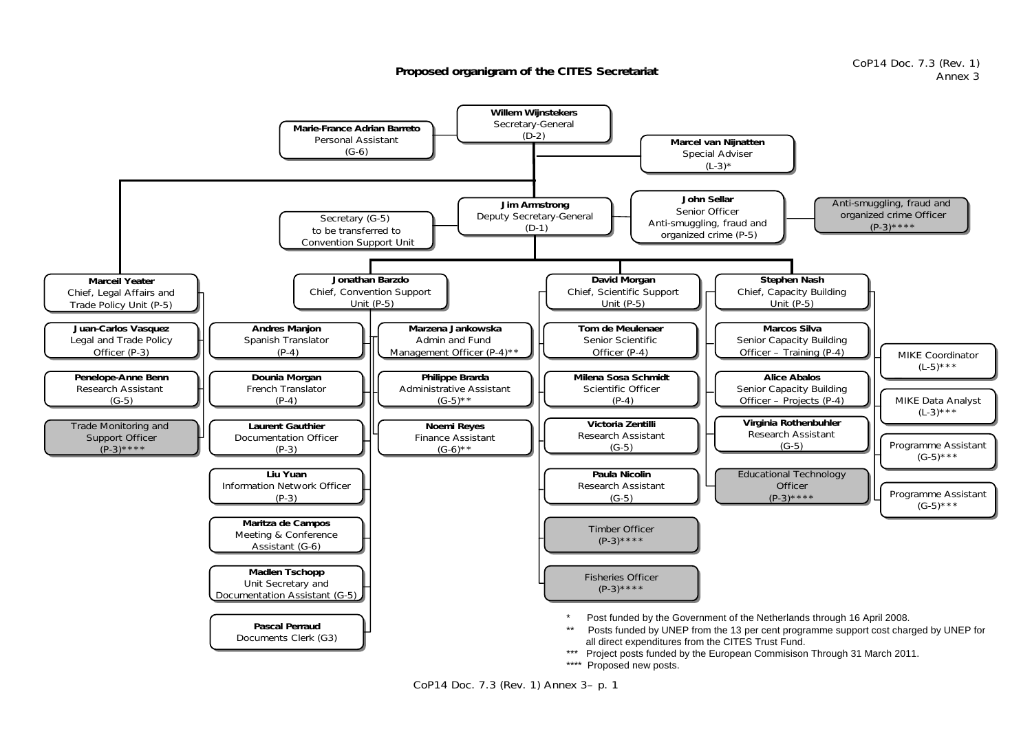**Proposed organigram of the CITES Secretariat**



CoP14 Doc. 7.3 (Rev. 1) Annex 3– p. 1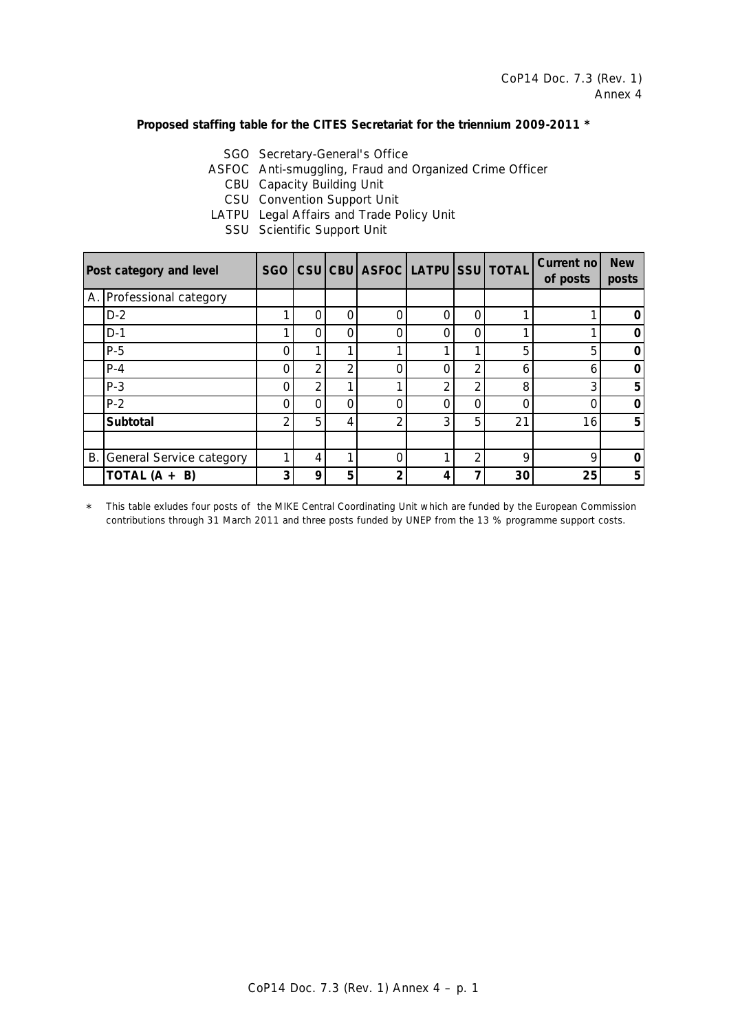# **Proposed staffing table for the CITES Secretariat for the triennium 2009-2011 \***

SGO Secretary-General's Office

ASFOC Anti-smuggling, Fraud and Organized Crime Officer

CBU Capacity Building Unit

- CSU Convention Support Unit
- LATPU Legal Affairs and Trade Policy Unit
	- SSU Scientific Support Unit

|           | Post category and level  | SGO |   |   | CSU CBU ASFOC LATPU SSU TOTAL |   |                |    | Current no<br>of posts | <b>New</b><br>posts |
|-----------|--------------------------|-----|---|---|-------------------------------|---|----------------|----|------------------------|---------------------|
|           | A. Professional category |     |   |   |                               |   |                |    |                        |                     |
|           | $D-2$                    |     |   | 0 |                               | Ω | O              |    |                        | O                   |
|           | $D-1$                    |     |   | ი |                               | Ω | O              |    |                        | Ω                   |
|           | $P-5$                    |     |   | ◢ |                               |   | ◄              | 5  | 5                      | O                   |
|           | $P-4$                    |     | ⌒ | ⌒ |                               |   | $\overline{2}$ | h  | 6                      | Ω                   |
|           | $P-3$                    |     | ◠ |   |                               | 2 | 2              | 8  | 3                      | 5                   |
|           | $P-2$                    |     |   | ი |                               | Ω | O              |    | Ω                      | O                   |
|           | Subtotal                 | ⌒   | 5 | 4 | 2                             | 3 | 5              | 21 | 16                     | 5                   |
|           |                          |     |   |   |                               |   |                |    |                        |                     |
| <b>B.</b> | General Service category |     |   |   |                               |   | 2              | ∩  | 9                      | O                   |
|           | TOTAL $(A + B)$          | ົ   | Ω | 5 | າ                             | 4 | 7              | 30 | 25                     | 5                   |

\* *This table exludes four posts of the MIKE Central Coordinating Unit which are funded by the European Commission contributions through 31 March 2011 and three posts funded by UNEP from the 13 % programme support costs.*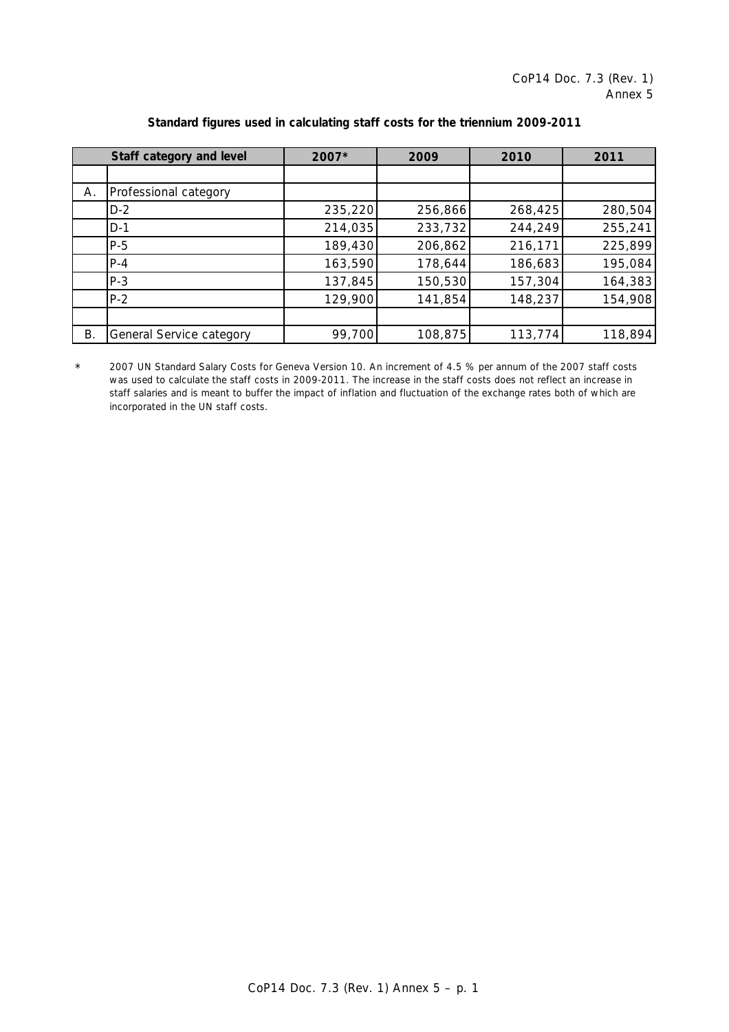|    | Staff category and level | 2007*   | 2009    | 2010    | 2011    |
|----|--------------------------|---------|---------|---------|---------|
|    |                          |         |         |         |         |
| Α. | Professional category    |         |         |         |         |
|    | $D-2$                    | 235,220 | 256,866 | 268,425 | 280,504 |
|    | $D-1$                    | 214,035 | 233,732 | 244,249 | 255,241 |
|    | $P-5$                    | 189,430 | 206,862 | 216,171 | 225,899 |
|    | $P - 4$                  | 163,590 | 178,644 | 186,683 | 195,084 |
|    | $P-3$                    | 137,845 | 150,530 | 157,304 | 164,383 |
|    | $P-2$                    | 129,900 | 141,854 | 148,237 | 154,908 |
|    |                          |         |         |         |         |
| Β. | General Service category | 99,700  | 108,875 | 113,774 | 118,894 |

# **Standard figures used in calculating staff costs for the triennium 2009-2011**

\* *2007 UN Standard Salary Costs for Geneva Version 10. An increment of 4.5 % per annum of the 2007 staff costs was used to calculate the staff costs in 2009-2011. The increase in the staff costs does not reflect an increase in staff salaries and is meant to buffer the impact of inflation and fluctuation of the exchange rates both of which are incorporated in the UN staff costs.*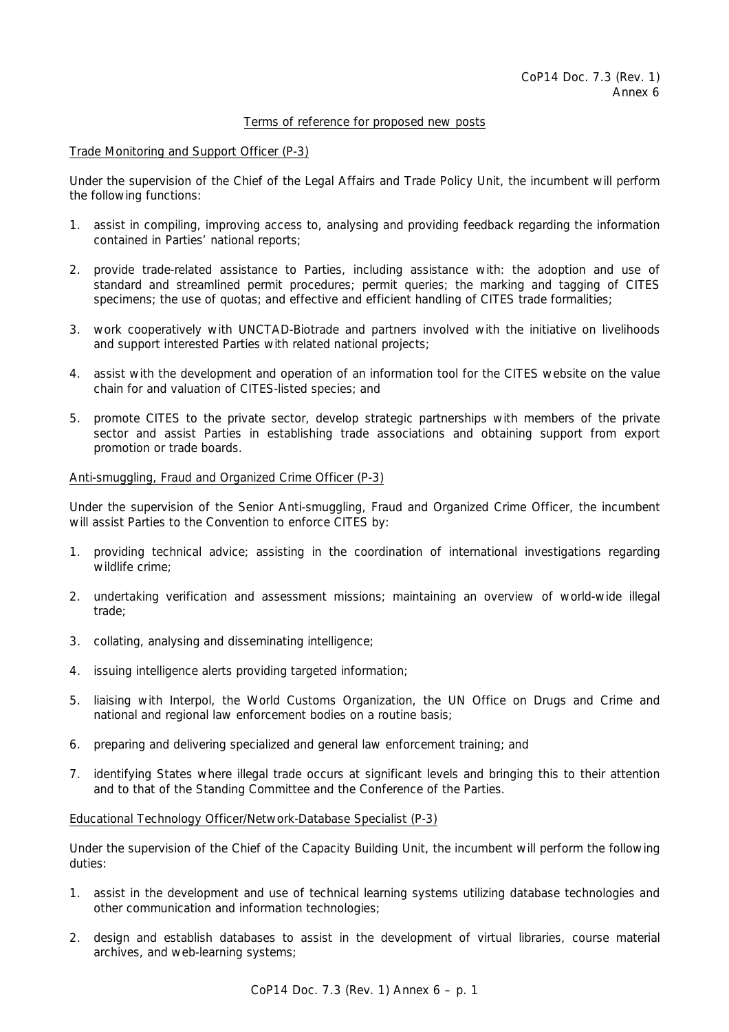# Terms of reference for proposed new posts

# Trade Monitoring and Support Officer (P-3)

Under the supervision of the Chief of the Legal Affairs and Trade Policy Unit, the incumbent will perform the following functions:

- 1. assist in compiling, improving access to, analysing and providing feedback regarding the information contained in Parties' national reports;
- 2. provide trade-related assistance to Parties, including assistance with: the adoption and use of standard and streamlined permit procedures; permit queries; the marking and tagging of CITES specimens; the use of quotas; and effective and efficient handling of CITES trade formalities;
- 3. work cooperatively with UNCTAD-Biotrade and partners involved with the initiative on livelihoods and support interested Parties with related national projects;
- 4. assist with the development and operation of an information tool for the CITES website on the value chain for and valuation of CITES-listed species; and
- 5. promote CITES to the private sector, develop strategic partnerships with members of the private sector and assist Parties in establishing trade associations and obtaining support from export promotion or trade boards.

### Anti-smuggling, Fraud and Organized Crime Officer (P-3)

Under the supervision of the Senior Anti-smuggling, Fraud and Organized Crime Officer, the incumbent will assist Parties to the Convention to enforce CITES by:

- 1. providing technical advice; assisting in the coordination of international investigations regarding wildlife crime;
- 2. undertaking verification and assessment missions; maintaining an overview of world-wide illegal trade;
- 3. collating, analysing and disseminating intelligence;
- 4. issuing intelligence alerts providing targeted information;
- 5. liaising with Interpol, the World Customs Organization, the UN Office on Drugs and Crime and national and regional law enforcement bodies on a routine basis;
- 6. preparing and delivering specialized and general law enforcement training; and
- 7. identifying States where illegal trade occurs at significant levels and bringing this to their attention and to that of the Standing Committee and the Conference of the Parties.

### Educational Technology Officer/Network-Database Specialist (P-3)

Under the supervision of the Chief of the Capacity Building Unit, the incumbent will perform the following duties:

- 1. assist in the development and use of technical learning systems utilizing database technologies and other communication and information technologies;
- 2. design and establish databases to assist in the development of virtual libraries, course material archives, and web-learning systems;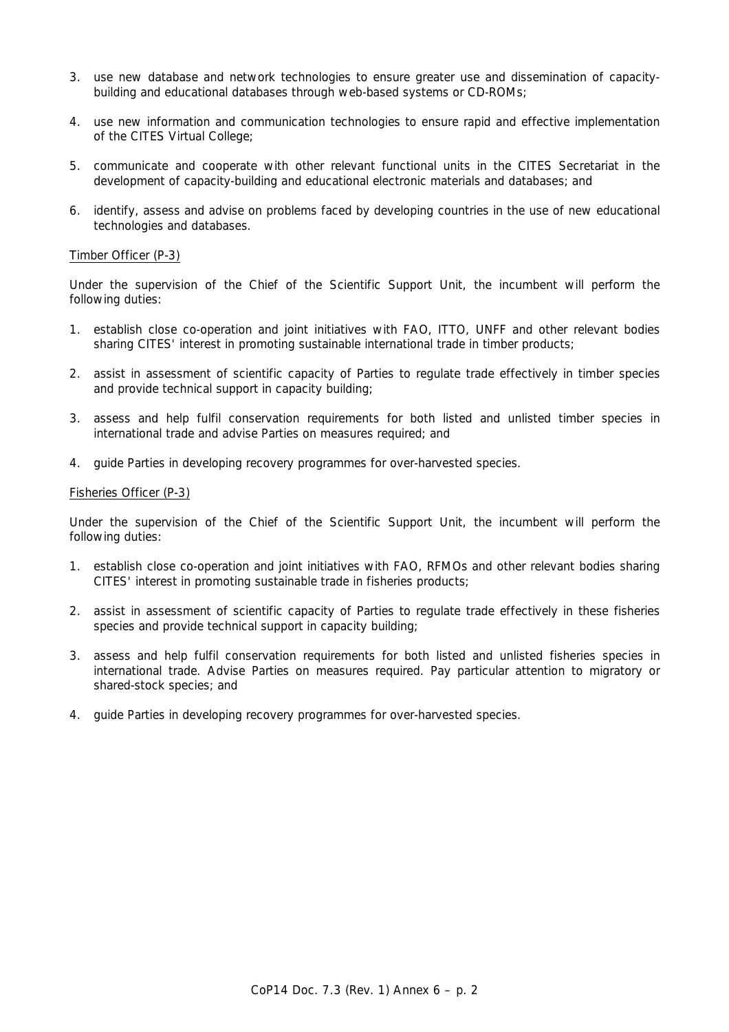- 3. use new database and network technologies to ensure greater use and dissemination of capacitybuilding and educational databases through web-based systems or CD-ROMs;
- 4. use new information and communication technologies to ensure rapid and effective implementation of the CITES Virtual College;
- 5. communicate and cooperate with other relevant functional units in the CITES Secretariat in the development of capacity-building and educational electronic materials and databases; and
- 6. identify, assess and advise on problems faced by developing countries in the use of new educational technologies and databases.

## Timber Officer (P-3)

Under the supervision of the Chief of the Scientific Support Unit, the incumbent will perform the following duties:

- 1. establish close co-operation and joint initiatives with FAO, ITTO, UNFF and other relevant bodies sharing CITES' interest in promoting sustainable international trade in timber products;
- 2. assist in assessment of scientific capacity of Parties to regulate trade effectively in timber species and provide technical support in capacity building;
- 3. assess and help fulfil conservation requirements for both listed and unlisted timber species in international trade and advise Parties on measures required; and
- 4. guide Parties in developing recovery programmes for over-harvested species.

# Fisheries Officer (P-3)

Under the supervision of the Chief of the Scientific Support Unit, the incumbent will perform the following duties:

- 1. establish close co-operation and joint initiatives with FAO, RFMOs and other relevant bodies sharing CITES' interest in promoting sustainable trade in fisheries products;
- 2. assist in assessment of scientific capacity of Parties to regulate trade effectively in these fisheries species and provide technical support in capacity building;
- 3. assess and help fulfil conservation requirements for both listed and unlisted fisheries species in international trade. Advise Parties on measures required. Pay particular attention to migratory or shared-stock species; and
- 4. guide Parties in developing recovery programmes for over-harvested species.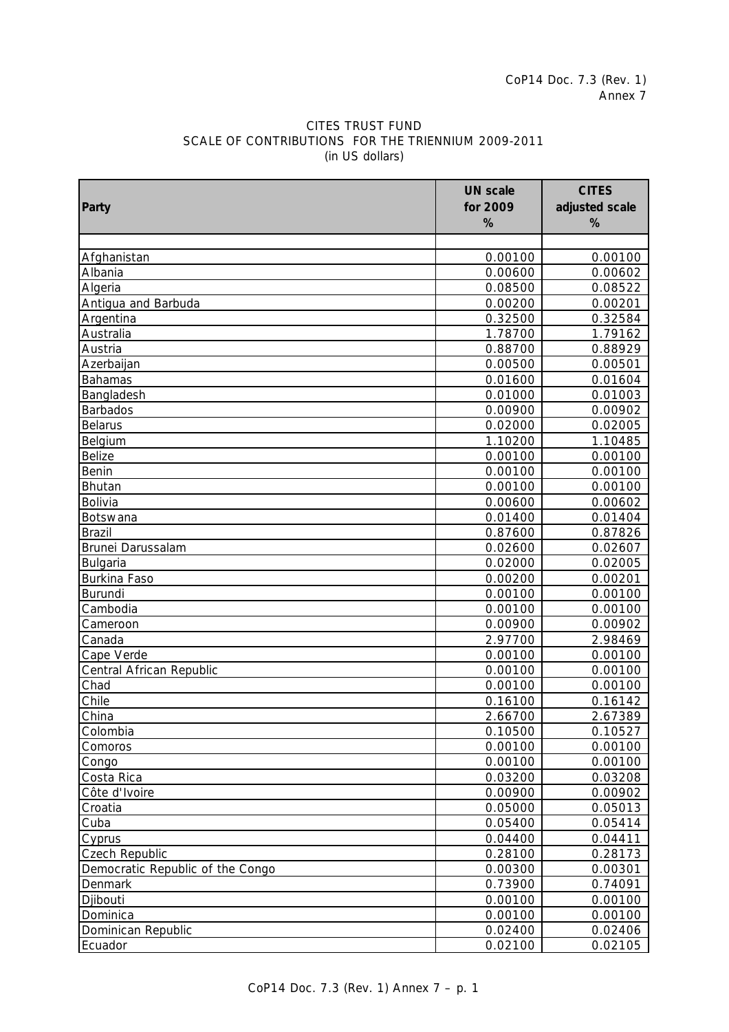# CITES TRUST FUND SCALE OF CONTRIBUTIONS FOR THE TRIENNIUM 2009-2011 (in US dollars)

| %<br>%<br>Afghanistan<br>0.00100<br>Albania<br>0.00600<br>Algeria<br>0.08500<br>Antigua and Barbuda<br>0.00200<br>0.32500<br>Argentina<br>1.78700<br>Australia<br>0.88700<br>Austria<br>0.00500<br>Azerbaijan<br><b>Bahamas</b><br>0.01600<br>0.01000<br>Bangladesh<br><b>Barbados</b><br>0.00900<br><b>Belarus</b><br>0.02000<br>0.02005<br>Belgium<br>1.10200<br>1.10485<br><b>Belize</b><br>0.00100<br>0.00100<br>Benin<br>0.00100<br>0.00100<br>0.00100<br>0.00100<br>Bhutan<br>Bolivia<br>0.00600<br>0.00602<br>0.01400<br>0.01404<br>Botswana<br>0.87600<br>0.87826<br>Brazil<br>0.02600<br>0.02607<br>Brunei Darussalam<br>Bulgaria<br>0.02000<br>0.02005<br><b>Burkina Faso</b><br>0.00200<br>0.00201<br>Burundi<br>0.00100<br>0.00100<br>Cambodia<br>0.00100<br>0.00100<br>0.00902<br>Cameroon<br>0.00900<br>Canada<br>2.97700<br>2.98469<br>0.00100<br>Cape Verde<br>0.00100<br>Central African Republic<br>0.00100<br>0.00100<br>Chad<br>0.00100<br>0.00100<br>Chile<br>0.16100<br>0.16142<br>China<br>2.67389<br>2.66700<br>Colombia<br>0.10500<br>0.10527<br>0.00100<br>0.00100<br>Comoros<br>0.00100<br>0.00100<br>Congo<br>0.03200<br>Costa Rica<br>0.03208<br>0.00900<br>Côte d'Ivoire<br>0.00902<br>Croatia<br>0.05000<br>0.05013<br>Cuba<br>0.05400<br>0.05414<br>0.04400<br>0.04411<br>Cyprus<br>Czech Republic<br>0.28100<br>0.28173<br>Democratic Republic of the Congo<br>0.00300<br>0.00301<br>0.74091<br>Denmark<br>0.73900 |       | <b>UN scale</b> | <b>CITES</b>   |
|-----------------------------------------------------------------------------------------------------------------------------------------------------------------------------------------------------------------------------------------------------------------------------------------------------------------------------------------------------------------------------------------------------------------------------------------------------------------------------------------------------------------------------------------------------------------------------------------------------------------------------------------------------------------------------------------------------------------------------------------------------------------------------------------------------------------------------------------------------------------------------------------------------------------------------------------------------------------------------------------------------------------------------------------------------------------------------------------------------------------------------------------------------------------------------------------------------------------------------------------------------------------------------------------------------------------------------------------------------------------------------------------------------------------------------------------------------|-------|-----------------|----------------|
|                                                                                                                                                                                                                                                                                                                                                                                                                                                                                                                                                                                                                                                                                                                                                                                                                                                                                                                                                                                                                                                                                                                                                                                                                                                                                                                                                                                                                                                     | Party | for 2009        | adjusted scale |
|                                                                                                                                                                                                                                                                                                                                                                                                                                                                                                                                                                                                                                                                                                                                                                                                                                                                                                                                                                                                                                                                                                                                                                                                                                                                                                                                                                                                                                                     |       |                 |                |
|                                                                                                                                                                                                                                                                                                                                                                                                                                                                                                                                                                                                                                                                                                                                                                                                                                                                                                                                                                                                                                                                                                                                                                                                                                                                                                                                                                                                                                                     |       |                 |                |
|                                                                                                                                                                                                                                                                                                                                                                                                                                                                                                                                                                                                                                                                                                                                                                                                                                                                                                                                                                                                                                                                                                                                                                                                                                                                                                                                                                                                                                                     |       |                 | 0.00100        |
|                                                                                                                                                                                                                                                                                                                                                                                                                                                                                                                                                                                                                                                                                                                                                                                                                                                                                                                                                                                                                                                                                                                                                                                                                                                                                                                                                                                                                                                     |       |                 | 0.00602        |
|                                                                                                                                                                                                                                                                                                                                                                                                                                                                                                                                                                                                                                                                                                                                                                                                                                                                                                                                                                                                                                                                                                                                                                                                                                                                                                                                                                                                                                                     |       |                 | 0.08522        |
|                                                                                                                                                                                                                                                                                                                                                                                                                                                                                                                                                                                                                                                                                                                                                                                                                                                                                                                                                                                                                                                                                                                                                                                                                                                                                                                                                                                                                                                     |       |                 | 0.00201        |
|                                                                                                                                                                                                                                                                                                                                                                                                                                                                                                                                                                                                                                                                                                                                                                                                                                                                                                                                                                                                                                                                                                                                                                                                                                                                                                                                                                                                                                                     |       |                 | 0.32584        |
|                                                                                                                                                                                                                                                                                                                                                                                                                                                                                                                                                                                                                                                                                                                                                                                                                                                                                                                                                                                                                                                                                                                                                                                                                                                                                                                                                                                                                                                     |       |                 | 1.79162        |
|                                                                                                                                                                                                                                                                                                                                                                                                                                                                                                                                                                                                                                                                                                                                                                                                                                                                                                                                                                                                                                                                                                                                                                                                                                                                                                                                                                                                                                                     |       |                 | 0.88929        |
|                                                                                                                                                                                                                                                                                                                                                                                                                                                                                                                                                                                                                                                                                                                                                                                                                                                                                                                                                                                                                                                                                                                                                                                                                                                                                                                                                                                                                                                     |       |                 | 0.00501        |
|                                                                                                                                                                                                                                                                                                                                                                                                                                                                                                                                                                                                                                                                                                                                                                                                                                                                                                                                                                                                                                                                                                                                                                                                                                                                                                                                                                                                                                                     |       |                 | 0.01604        |
|                                                                                                                                                                                                                                                                                                                                                                                                                                                                                                                                                                                                                                                                                                                                                                                                                                                                                                                                                                                                                                                                                                                                                                                                                                                                                                                                                                                                                                                     |       |                 | 0.01003        |
|                                                                                                                                                                                                                                                                                                                                                                                                                                                                                                                                                                                                                                                                                                                                                                                                                                                                                                                                                                                                                                                                                                                                                                                                                                                                                                                                                                                                                                                     |       |                 | 0.00902        |
|                                                                                                                                                                                                                                                                                                                                                                                                                                                                                                                                                                                                                                                                                                                                                                                                                                                                                                                                                                                                                                                                                                                                                                                                                                                                                                                                                                                                                                                     |       |                 |                |
|                                                                                                                                                                                                                                                                                                                                                                                                                                                                                                                                                                                                                                                                                                                                                                                                                                                                                                                                                                                                                                                                                                                                                                                                                                                                                                                                                                                                                                                     |       |                 |                |
|                                                                                                                                                                                                                                                                                                                                                                                                                                                                                                                                                                                                                                                                                                                                                                                                                                                                                                                                                                                                                                                                                                                                                                                                                                                                                                                                                                                                                                                     |       |                 |                |
|                                                                                                                                                                                                                                                                                                                                                                                                                                                                                                                                                                                                                                                                                                                                                                                                                                                                                                                                                                                                                                                                                                                                                                                                                                                                                                                                                                                                                                                     |       |                 |                |
|                                                                                                                                                                                                                                                                                                                                                                                                                                                                                                                                                                                                                                                                                                                                                                                                                                                                                                                                                                                                                                                                                                                                                                                                                                                                                                                                                                                                                                                     |       |                 |                |
|                                                                                                                                                                                                                                                                                                                                                                                                                                                                                                                                                                                                                                                                                                                                                                                                                                                                                                                                                                                                                                                                                                                                                                                                                                                                                                                                                                                                                                                     |       |                 |                |
|                                                                                                                                                                                                                                                                                                                                                                                                                                                                                                                                                                                                                                                                                                                                                                                                                                                                                                                                                                                                                                                                                                                                                                                                                                                                                                                                                                                                                                                     |       |                 |                |
|                                                                                                                                                                                                                                                                                                                                                                                                                                                                                                                                                                                                                                                                                                                                                                                                                                                                                                                                                                                                                                                                                                                                                                                                                                                                                                                                                                                                                                                     |       |                 |                |
|                                                                                                                                                                                                                                                                                                                                                                                                                                                                                                                                                                                                                                                                                                                                                                                                                                                                                                                                                                                                                                                                                                                                                                                                                                                                                                                                                                                                                                                     |       |                 |                |
|                                                                                                                                                                                                                                                                                                                                                                                                                                                                                                                                                                                                                                                                                                                                                                                                                                                                                                                                                                                                                                                                                                                                                                                                                                                                                                                                                                                                                                                     |       |                 |                |
|                                                                                                                                                                                                                                                                                                                                                                                                                                                                                                                                                                                                                                                                                                                                                                                                                                                                                                                                                                                                                                                                                                                                                                                                                                                                                                                                                                                                                                                     |       |                 |                |
|                                                                                                                                                                                                                                                                                                                                                                                                                                                                                                                                                                                                                                                                                                                                                                                                                                                                                                                                                                                                                                                                                                                                                                                                                                                                                                                                                                                                                                                     |       |                 |                |
|                                                                                                                                                                                                                                                                                                                                                                                                                                                                                                                                                                                                                                                                                                                                                                                                                                                                                                                                                                                                                                                                                                                                                                                                                                                                                                                                                                                                                                                     |       |                 |                |
|                                                                                                                                                                                                                                                                                                                                                                                                                                                                                                                                                                                                                                                                                                                                                                                                                                                                                                                                                                                                                                                                                                                                                                                                                                                                                                                                                                                                                                                     |       |                 |                |
|                                                                                                                                                                                                                                                                                                                                                                                                                                                                                                                                                                                                                                                                                                                                                                                                                                                                                                                                                                                                                                                                                                                                                                                                                                                                                                                                                                                                                                                     |       |                 |                |
|                                                                                                                                                                                                                                                                                                                                                                                                                                                                                                                                                                                                                                                                                                                                                                                                                                                                                                                                                                                                                                                                                                                                                                                                                                                                                                                                                                                                                                                     |       |                 |                |
|                                                                                                                                                                                                                                                                                                                                                                                                                                                                                                                                                                                                                                                                                                                                                                                                                                                                                                                                                                                                                                                                                                                                                                                                                                                                                                                                                                                                                                                     |       |                 |                |
|                                                                                                                                                                                                                                                                                                                                                                                                                                                                                                                                                                                                                                                                                                                                                                                                                                                                                                                                                                                                                                                                                                                                                                                                                                                                                                                                                                                                                                                     |       |                 |                |
|                                                                                                                                                                                                                                                                                                                                                                                                                                                                                                                                                                                                                                                                                                                                                                                                                                                                                                                                                                                                                                                                                                                                                                                                                                                                                                                                                                                                                                                     |       |                 |                |
|                                                                                                                                                                                                                                                                                                                                                                                                                                                                                                                                                                                                                                                                                                                                                                                                                                                                                                                                                                                                                                                                                                                                                                                                                                                                                                                                                                                                                                                     |       |                 |                |
|                                                                                                                                                                                                                                                                                                                                                                                                                                                                                                                                                                                                                                                                                                                                                                                                                                                                                                                                                                                                                                                                                                                                                                                                                                                                                                                                                                                                                                                     |       |                 |                |
|                                                                                                                                                                                                                                                                                                                                                                                                                                                                                                                                                                                                                                                                                                                                                                                                                                                                                                                                                                                                                                                                                                                                                                                                                                                                                                                                                                                                                                                     |       |                 |                |
|                                                                                                                                                                                                                                                                                                                                                                                                                                                                                                                                                                                                                                                                                                                                                                                                                                                                                                                                                                                                                                                                                                                                                                                                                                                                                                                                                                                                                                                     |       |                 |                |
|                                                                                                                                                                                                                                                                                                                                                                                                                                                                                                                                                                                                                                                                                                                                                                                                                                                                                                                                                                                                                                                                                                                                                                                                                                                                                                                                                                                                                                                     |       |                 |                |
|                                                                                                                                                                                                                                                                                                                                                                                                                                                                                                                                                                                                                                                                                                                                                                                                                                                                                                                                                                                                                                                                                                                                                                                                                                                                                                                                                                                                                                                     |       |                 |                |
|                                                                                                                                                                                                                                                                                                                                                                                                                                                                                                                                                                                                                                                                                                                                                                                                                                                                                                                                                                                                                                                                                                                                                                                                                                                                                                                                                                                                                                                     |       |                 |                |
|                                                                                                                                                                                                                                                                                                                                                                                                                                                                                                                                                                                                                                                                                                                                                                                                                                                                                                                                                                                                                                                                                                                                                                                                                                                                                                                                                                                                                                                     |       |                 |                |
|                                                                                                                                                                                                                                                                                                                                                                                                                                                                                                                                                                                                                                                                                                                                                                                                                                                                                                                                                                                                                                                                                                                                                                                                                                                                                                                                                                                                                                                     |       |                 |                |
|                                                                                                                                                                                                                                                                                                                                                                                                                                                                                                                                                                                                                                                                                                                                                                                                                                                                                                                                                                                                                                                                                                                                                                                                                                                                                                                                                                                                                                                     |       |                 |                |
|                                                                                                                                                                                                                                                                                                                                                                                                                                                                                                                                                                                                                                                                                                                                                                                                                                                                                                                                                                                                                                                                                                                                                                                                                                                                                                                                                                                                                                                     |       |                 |                |
|                                                                                                                                                                                                                                                                                                                                                                                                                                                                                                                                                                                                                                                                                                                                                                                                                                                                                                                                                                                                                                                                                                                                                                                                                                                                                                                                                                                                                                                     |       |                 |                |
| Djibouti<br>0.00100                                                                                                                                                                                                                                                                                                                                                                                                                                                                                                                                                                                                                                                                                                                                                                                                                                                                                                                                                                                                                                                                                                                                                                                                                                                                                                                                                                                                                                 |       |                 | 0.00100        |
| 0.00100<br>Dominica                                                                                                                                                                                                                                                                                                                                                                                                                                                                                                                                                                                                                                                                                                                                                                                                                                                                                                                                                                                                                                                                                                                                                                                                                                                                                                                                                                                                                                 |       |                 | 0.00100        |
| Dominican Republic<br>0.02400                                                                                                                                                                                                                                                                                                                                                                                                                                                                                                                                                                                                                                                                                                                                                                                                                                                                                                                                                                                                                                                                                                                                                                                                                                                                                                                                                                                                                       |       |                 | 0.02406        |
| 0.02100<br>Ecuador                                                                                                                                                                                                                                                                                                                                                                                                                                                                                                                                                                                                                                                                                                                                                                                                                                                                                                                                                                                                                                                                                                                                                                                                                                                                                                                                                                                                                                  |       |                 | 0.02105        |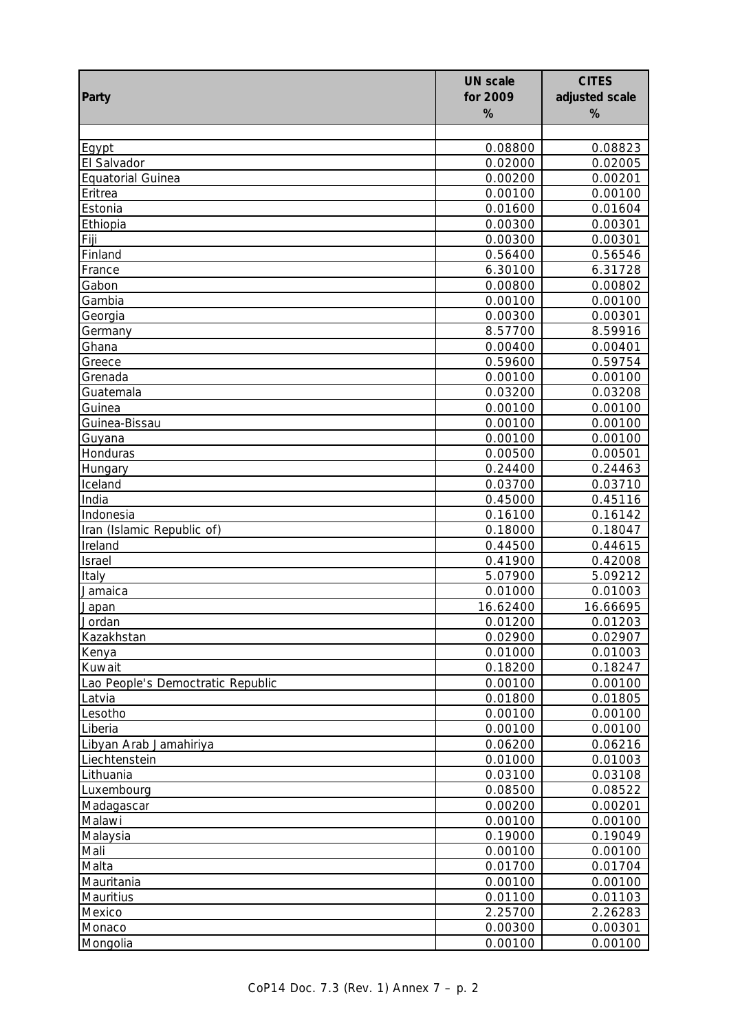| Party                             | <b>UN scale</b><br>for 2009<br>% | <b>CITES</b><br>adjusted scale<br>% |
|-----------------------------------|----------------------------------|-------------------------------------|
|                                   |                                  |                                     |
| Egypt                             | 0.08800                          | 0.08823                             |
| El Salvador                       | 0.02000                          | 0.02005                             |
| <b>Equatorial Guinea</b>          | 0.00200                          | 0.00201                             |
| Eritrea                           | 0.00100                          | 0.00100                             |
| Estonia                           | 0.01600                          | 0.01604                             |
| Ethiopia                          | 0.00300                          | 0.00301                             |
| Fiji                              | 0.00300                          | 0.00301                             |
| Finland                           | 0.56400                          | 0.56546                             |
| France                            | 6.30100                          | 6.31728                             |
| Gabon                             | 0.00800                          | 0.00802                             |
| Gambia                            | 0.00100                          | 0.00100                             |
| Georgia                           | 0.00300                          | 0.00301                             |
| Germany                           | 8.57700                          | 8.59916                             |
| Ghana                             | 0.00400<br>0.59600               | 0.00401                             |
| Greece<br>Grenada                 | 0.00100                          | 0.59754<br>0.00100                  |
| Guatemala                         | 0.03200                          | 0.03208                             |
| Guinea                            | 0.00100                          | 0.00100                             |
| Guinea-Bissau                     | 0.00100                          | 0.00100                             |
| Guyana                            | 0.00100                          | 0.00100                             |
| Honduras                          | 0.00500                          | 0.00501                             |
| Hungary                           | 0.24400                          | 0.24463                             |
| Iceland                           | 0.03700                          | 0.03710                             |
| India                             | 0.45000                          | 0.45116                             |
| Indonesia                         | 0.16100                          | 0.16142                             |
| Iran (Islamic Republic of)        | 0.18000                          | 0.18047                             |
| Ireland                           | 0.44500                          | 0.44615                             |
| Israel                            | 0.41900                          | 0.42008                             |
| Italy                             | 5.07900                          | 5.09212                             |
| Jamaica                           | 0.01000                          | 0.01003                             |
| <u>Japan</u>                      | 16.62400                         | 16.66695                            |
| Jordan                            | 0.01200                          | 0.01203                             |
| Kazakhstan                        | 0.02900                          | 0.02907                             |
| Kenya                             | 0.01000                          | 0.01003                             |
| Kuwait                            | 0.18200                          | 0.18247                             |
| Lao People's Democtratic Republic | 0.00100                          | 0.00100                             |
| Latvia                            | 0.01800                          | 0.01805                             |
| Lesotho                           | 0.00100                          | 0.00100                             |
| Liberia                           | 0.00100                          | 0.00100                             |
| Libyan Arab Jamahiriya            | 0.06200                          | 0.06216                             |
| Liechtenstein                     | 0.01000                          | 0.01003                             |
| Lithuania                         | 0.03100                          | 0.03108                             |
| Luxembourg<br>Madagascar          | 0.08500<br>0.00200               | 0.08522<br>0.00201                  |
| Malawi                            | 0.00100                          | 0.00100                             |
| Malaysia                          | 0.19000                          | 0.19049                             |
| Mali                              | 0.00100                          | 0.00100                             |
| Malta                             | 0.01700                          | 0.01704                             |
| Mauritania                        | 0.00100                          | 0.00100                             |
| Mauritius                         | 0.01100                          | 0.01103                             |
| Mexico                            | 2.25700                          | 2.26283                             |
| Monaco                            | 0.00300                          | 0.00301                             |
| Mongolia                          | 0.00100                          | 0.00100                             |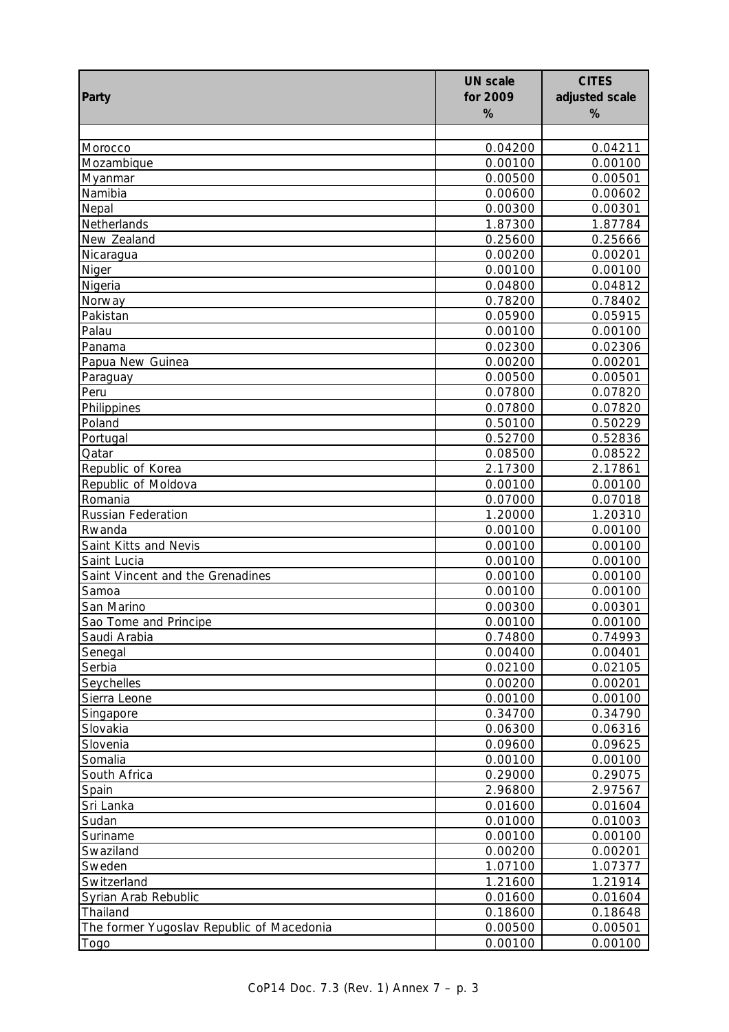| Party                                     | <b>UN scale</b><br>for 2009<br>% | <b>CITES</b><br>adjusted scale<br>% |
|-------------------------------------------|----------------------------------|-------------------------------------|
|                                           |                                  |                                     |
| Morocco                                   | 0.04200                          | 0.04211                             |
| Mozambique                                | 0.00100                          | 0.00100                             |
| Myanmar                                   | 0.00500                          | 0.00501                             |
| Namibia                                   | 0.00600                          | 0.00602                             |
| Nepal                                     | 0.00300                          | 0.00301                             |
| Netherlands                               | 1.87300                          | 1.87784                             |
| New Zealand                               | 0.25600                          | 0.25666                             |
| Nicaragua                                 | 0.00200                          | 0.00201                             |
| Niger                                     | 0.00100                          | 0.00100                             |
| Nigeria                                   | 0.04800                          | 0.04812                             |
| Norway                                    | 0.78200                          | 0.78402                             |
| Pakistan                                  | 0.05900                          | 0.05915                             |
| Palau                                     | 0.00100                          | 0.00100                             |
| Panama                                    | 0.02300                          | 0.02306                             |
| Papua New Guinea                          | 0.00200                          | 0.00201                             |
| Paraguay                                  | 0.00500                          | 0.00501                             |
| Peru                                      | 0.07800                          | 0.07820                             |
| Philippines                               | 0.07800                          | 0.07820                             |
| Poland                                    | 0.50100                          | 0.50229                             |
| Portugal                                  | 0.52700                          | 0.52836                             |
| Qatar                                     | 0.08500                          | 0.08522                             |
| Republic of Korea                         | 2.17300                          | 2.17861                             |
| Republic of Moldova<br>Romania            | 0.00100                          | 0.00100                             |
| <b>Russian Federation</b>                 | 0.07000<br>1.20000               | 0.07018<br>1.20310                  |
| Rwanda                                    | 0.00100                          | 0.00100                             |
| Saint Kitts and Nevis                     | 0.00100                          | 0.00100                             |
| Saint Lucia                               | 0.00100                          | 0.00100                             |
| Saint Vincent and the Grenadines          | 0.00100                          | 0.00100                             |
| Samoa                                     | 0.00100                          | 0.00100                             |
| San Marino                                | 0.00300                          | 0.00301                             |
| Sao Tome and Principe                     | 0.00100                          | 0.00100                             |
| Saudi Arabia                              | 0.74800                          | 0.74993                             |
| Senegal                                   | 0.00400                          | 0.00401                             |
| Serbia                                    | 0.02100                          | 0.02105                             |
| Seychelles                                | 0.00200                          | 0.00201                             |
| Sierra Leone                              | 0.00100                          | 0.00100                             |
| Singapore                                 | 0.34700                          | 0.34790                             |
| Slovakia                                  | 0.06300                          | 0.06316                             |
| Slovenia                                  | 0.09600                          | 0.09625                             |
| Somalia                                   | 0.00100                          | 0.00100                             |
| South Africa                              | 0.29000                          | 0.29075                             |
| Spain                                     | 2.96800                          | 2.97567                             |
| Sri Lanka                                 | 0.01600                          | 0.01604                             |
| Sudan                                     | 0.01000                          | 0.01003                             |
| Suriname                                  | 0.00100                          | 0.00100                             |
| Swaziland                                 | 0.00200                          | 0.00201                             |
| Sweden                                    | 1.07100                          | 1.07377                             |
| Switzerland                               | 1.21600                          | 1.21914                             |
| Syrian Arab Rebublic                      | 0.01600                          | 0.01604                             |
| Thailand                                  | 0.18600                          | 0.18648                             |
| The former Yugoslav Republic of Macedonia | 0.00500                          | 0.00501                             |
| Togo                                      | 0.00100                          | 0.00100                             |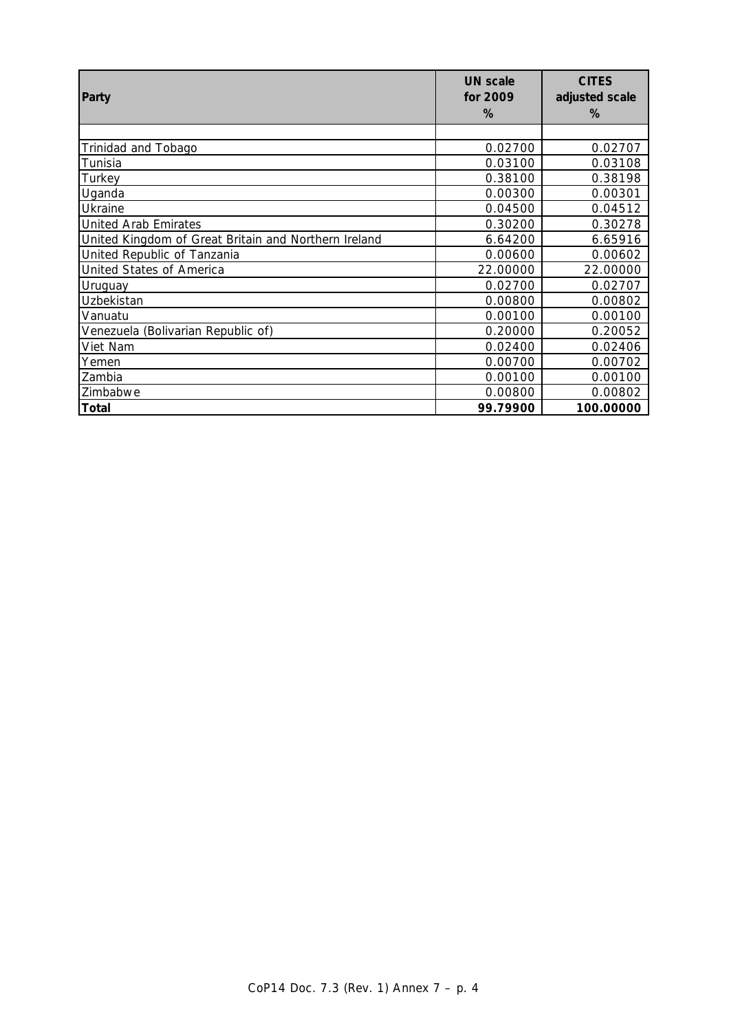| Party                                                | <b>UN</b> scale<br>for 2009<br>% | <b>CITES</b><br>adjusted scale<br>% |
|------------------------------------------------------|----------------------------------|-------------------------------------|
|                                                      |                                  |                                     |
| Trinidad and Tobago                                  | 0.02700                          | 0.02707                             |
| Tunisia                                              | 0.03100                          | 0.03108                             |
| Turkey                                               | 0.38100                          | 0.38198                             |
| Uganda                                               | 0.00300                          | 0.00301                             |
| Ukraine                                              | 0.04500                          | 0.04512                             |
| <b>United Arab Emirates</b>                          | 0.30200                          | 0.30278                             |
| United Kingdom of Great Britain and Northern Ireland | 6.64200                          | 6.65916                             |
| United Republic of Tanzania                          | 0.00600                          | 0.00602                             |
| <b>United States of America</b>                      | 22.00000                         | 22.00000                            |
| Uruguay                                              | 0.02700                          | 0.02707                             |
| Uzbekistan                                           | 0.00800                          | 0.00802                             |
| Vanuatu                                              | 0.00100                          | 0.00100                             |
| Venezuela (Bolivarian Republic of)                   | 0.20000                          | 0.20052                             |
| Viet Nam                                             | 0.02400                          | 0.02406                             |
| Yemen                                                | 0.00700                          | 0.00702                             |
| Zambia                                               | 0.00100                          | 0.00100                             |
| Zimbabwe                                             | 0.00800                          | 0.00802                             |
| Total                                                | 99.79900                         | 100.00000                           |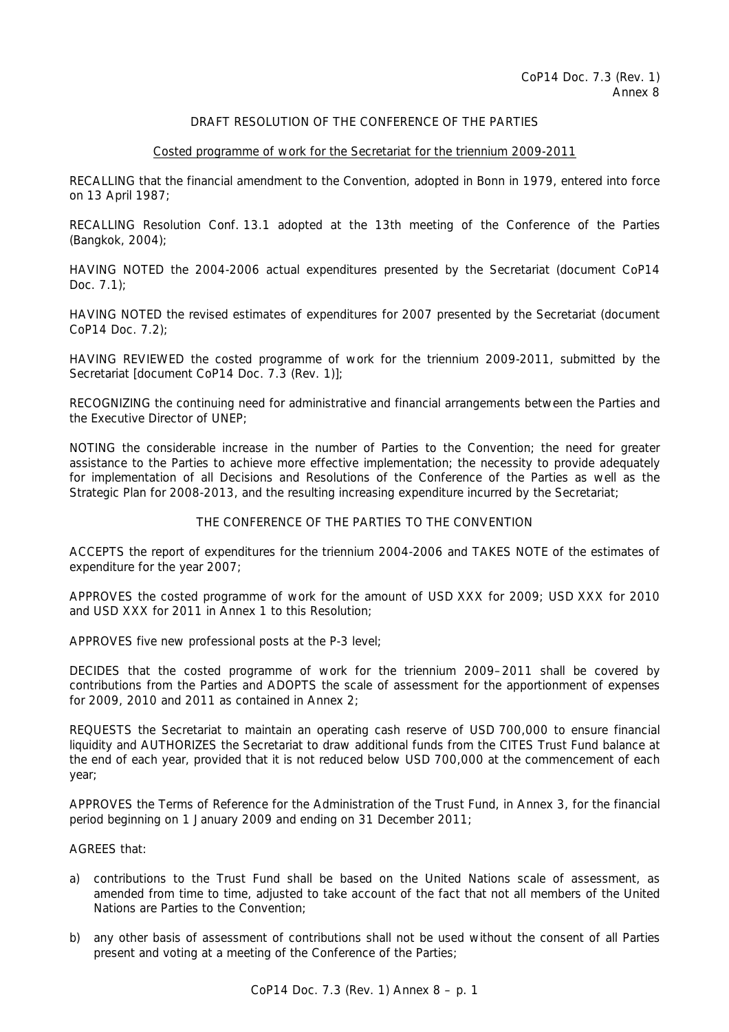# DRAFT RESOLUTION OF THE CONFERENCE OF THE PARTIES

## Costed programme of work for the Secretariat for the triennium 2009-2011

RECALLING that the financial amendment to the Convention, adopted in Bonn in 1979, entered into force on 13 April 1987;

RECALLING Resolution Conf. 13.1 adopted at the 13th meeting of the Conference of the Parties (Bangkok, 2004);

HAVING NOTED the 2004-2006 actual expenditures presented by the Secretariat (document CoP14 Doc.  $7.1$ );

HAVING NOTED the revised estimates of expenditures for 2007 presented by the Secretariat (document CoP14 Doc. 7.2);

HAVING REVIEWED the costed programme of work for the triennium 2009-2011, submitted by the Secretariat [document CoP14 Doc. 7.3 (Rev. 1)];

RECOGNIZING the continuing need for administrative and financial arrangements between the Parties and the Executive Director of UNEP;

NOTING the considerable increase in the number of Parties to the Convention; the need for greater assistance to the Parties to achieve more effective implementation; the necessity to provide adequately for implementation of all Decisions and Resolutions of the Conference of the Parties as well as the Strategic Plan for 2008-2013, and the resulting increasing expenditure incurred by the Secretariat;

# THE CONFERENCE OF THE PARTIES TO THE CONVENTION

ACCEPTS the report of expenditures for the triennium 2004-2006 and TAKES NOTE of the estimates of expenditure for the year 2007;

APPROVES the costed programme of work for the amount of USD XXX for 2009; USD XXX for 2010 and USD XXX for 2011 in Annex 1 to this Resolution;

APPROVES five new professional posts at the P-3 level;

DECIDES that the costed programme of work for the triennium 2009–2011 shall be covered by contributions from the Parties and ADOPTS the scale of assessment for the apportionment of expenses for 2009, 2010 and 2011 as contained in Annex 2;

REQUESTS the Secretariat to maintain an operating cash reserve of USD 700,000 to ensure financial liquidity and AUTHORIZES the Secretariat to draw additional funds from the CITES Trust Fund balance at the end of each year, provided that it is not reduced below USD 700,000 at the commencement of each year;

APPROVES the Terms of Reference for the Administration of the Trust Fund, in Annex 3, for the financial period beginning on 1 January 2009 and ending on 31 December 2011;

AGREES that:

- a) contributions to the Trust Fund shall be based on the United Nations scale of assessment, as amended from time to time, adjusted to take account of the fact that not all members of the United Nations are Parties to the Convention;
- b) any other basis of assessment of contributions shall not be used without the consent of all Parties present and voting at a meeting of the Conference of the Parties;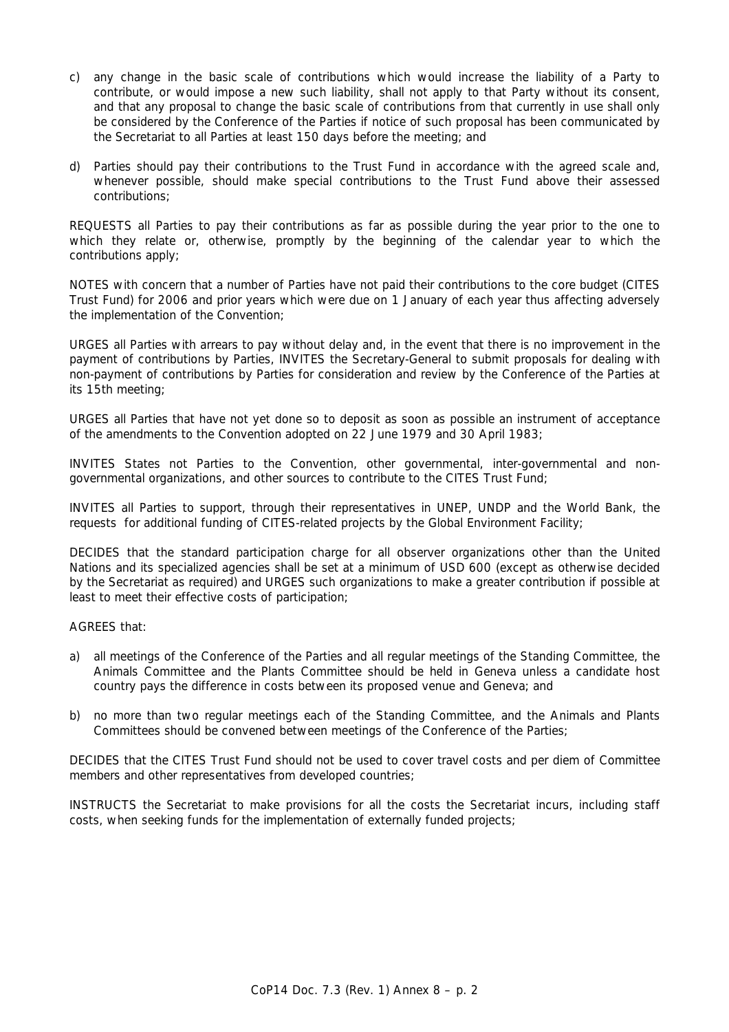- c) any change in the basic scale of contributions which would increase the liability of a Party to contribute, or would impose a new such liability, shall not apply to that Party without its consent, and that any proposal to change the basic scale of contributions from that currently in use shall only be considered by the Conference of the Parties if notice of such proposal has been communicated by the Secretariat to all Parties at least 150 days before the meeting; and
- d) Parties should pay their contributions to the Trust Fund in accordance with the agreed scale and, whenever possible, should make special contributions to the Trust Fund above their assessed contributions;

REQUESTS all Parties to pay their contributions as far as possible during the year prior to the one to which they relate or, otherwise, promptly by the beginning of the calendar year to which the contributions apply;

NOTES with concern that a number of Parties have not paid their contributions to the core budget (CITES Trust Fund) for 2006 and prior years which were due on 1 January of each year thus affecting adversely the implementation of the Convention;

URGES all Parties with arrears to pay without delay and, in the event that there is no improvement in the payment of contributions by Parties, INVITES the Secretary-General to submit proposals for dealing with non-payment of contributions by Parties for consideration and review by the Conference of the Parties at its 15th meeting;

URGES all Parties that have not yet done so to deposit as soon as possible an instrument of acceptance of the amendments to the Convention adopted on 22 June 1979 and 30 April 1983;

INVITES States not Parties to the Convention, other governmental, inter-governmental and nongovernmental organizations, and other sources to contribute to the CITES Trust Fund;

INVITES all Parties to support, through their representatives in UNEP, UNDP and the World Bank, the requests for additional funding of CITES-related projects by the Global Environment Facility;

DECIDES that the standard participation charge for all observer organizations other than the United Nations and its specialized agencies shall be set at a minimum of USD 600 (except as otherwise decided by the Secretariat as required) and URGES such organizations to make a greater contribution if possible at least to meet their effective costs of participation;

AGREES that:

- a) all meetings of the Conference of the Parties and all regular meetings of the Standing Committee, the Animals Committee and the Plants Committee should be held in Geneva unless a candidate host country pays the difference in costs between its proposed venue and Geneva; and
- b) no more than two regular meetings each of the Standing Committee, and the Animals and Plants Committees should be convened between meetings of the Conference of the Parties;

DECIDES that the CITES Trust Fund should not be used to cover travel costs and per diem of Committee members and other representatives from developed countries;

INSTRUCTS the Secretariat to make provisions for all the costs the Secretariat incurs, including staff costs, when seeking funds for the implementation of externally funded projects;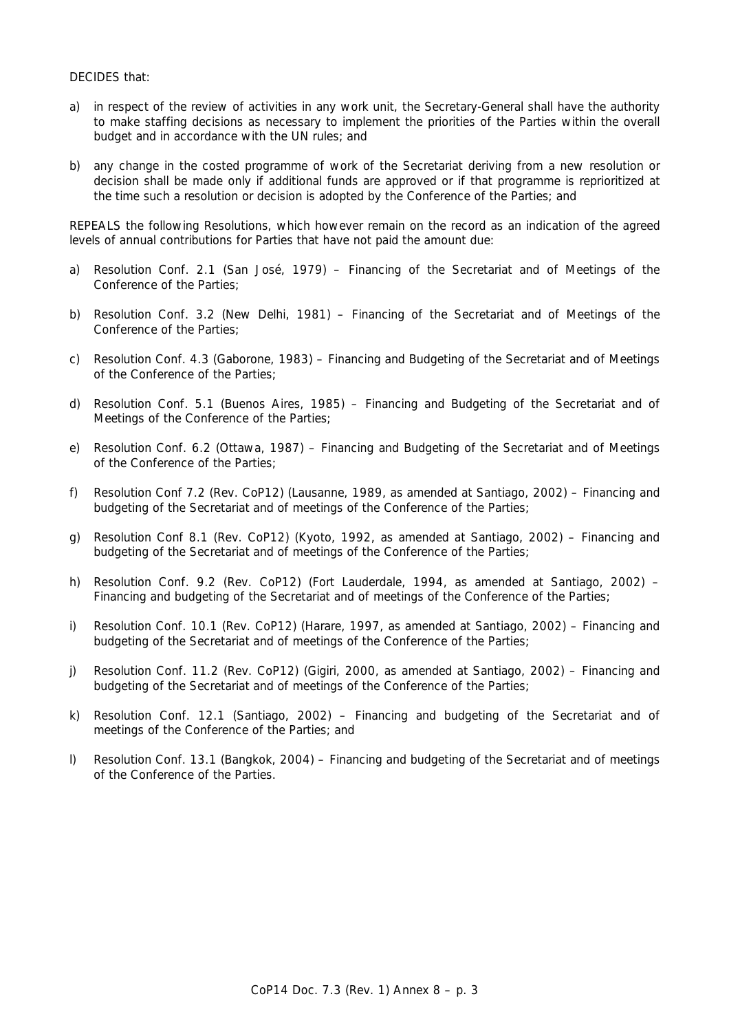# DECIDES that:

- a) in respect of the review of activities in any work unit, the Secretary-General shall have the authority to make staffing decisions as necessary to implement the priorities of the Parties within the overall budget and in accordance with the UN rules; and
- b) any change in the costed programme of work of the Secretariat deriving from a new resolution or decision shall be made only if additional funds are approved or if that programme is reprioritized at the time such a resolution or decision is adopted by the Conference of the Parties; and

REPEALS the following Resolutions, which however remain on the record as an indication of the agreed levels of annual contributions for Parties that have not paid the amount due:

- a) Resolution Conf. 2.1 (San José, 1979) Financing of the Secretariat and of Meetings of the Conference of the Parties;
- b) Resolution Conf. 3.2 (New Delhi, 1981) Financing of the Secretariat and of Meetings of the Conference of the Parties;
- c) Resolution Conf. 4.3 (Gaborone, 1983) Financing and Budgeting of the Secretariat and of Meetings of the Conference of the Parties;
- d) Resolution Conf. 5.1 (Buenos Aires, 1985) Financing and Budgeting of the Secretariat and of Meetings of the Conference of the Parties;
- e) Resolution Conf. 6.2 (Ottawa, 1987) Financing and Budgeting of the Secretariat and of Meetings of the Conference of the Parties;
- f) Resolution Conf 7.2 (Rev. CoP12) (Lausanne, 1989, as amended at Santiago, 2002) Financing and budgeting of the Secretariat and of meetings of the Conference of the Parties;
- g) Resolution Conf 8.1 (Rev. CoP12) (Kyoto, 1992, as amended at Santiago, 2002) Financing and budgeting of the Secretariat and of meetings of the Conference of the Parties;
- h) Resolution Conf. 9.2 (Rev. CoP12) (Fort Lauderdale, 1994, as amended at Santiago, 2002) Financing and budgeting of the Secretariat and of meetings of the Conference of the Parties;
- i) Resolution Conf. 10.1 (Rev. CoP12) (Harare, 1997, as amended at Santiago, 2002) Financing and budgeting of the Secretariat and of meetings of the Conference of the Parties;
- j) Resolution Conf. 11.2 (Rev. CoP12) (Gigiri, 2000, as amended at Santiago, 2002) Financing and budgeting of the Secretariat and of meetings of the Conference of the Parties;
- k) Resolution Conf. 12.1 (Santiago, 2002) Financing and budgeting of the Secretariat and of meetings of the Conference of the Parties; and
- l) Resolution Conf. 13.1 (Bangkok, 2004) Financing and budgeting of the Secretariat and of meetings of the Conference of the Parties.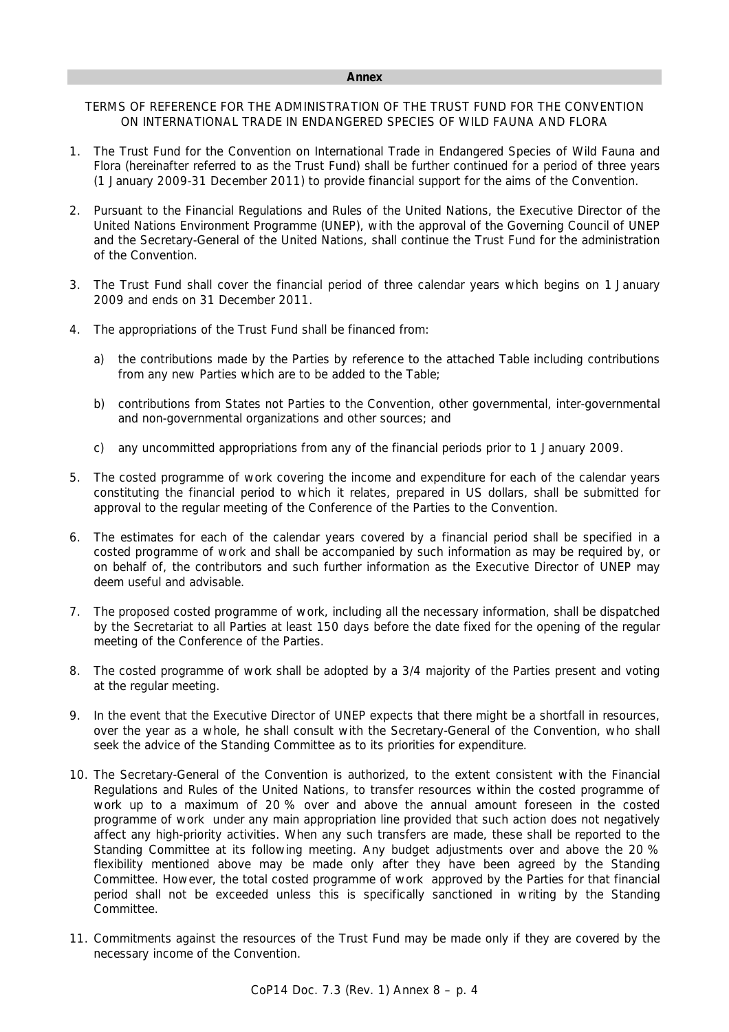TERMS OF REFERENCE FOR THE ADMINISTRATION OF THE TRUST FUND FOR THE CONVENTION ON INTERNATIONAL TRADE IN ENDANGERED SPECIES OF WILD FAUNA AND FLORA

- 1. The Trust Fund for the Convention on International Trade in Endangered Species of Wild Fauna and Flora (hereinafter referred to as the Trust Fund) shall be further continued for a period of three years (1 January 2009-31 December 2011) to provide financial support for the aims of the Convention.
- 2. Pursuant to the Financial Regulations and Rules of the United Nations, the Executive Director of the United Nations Environment Programme (UNEP), with the approval of the Governing Council of UNEP and the Secretary-General of the United Nations, shall continue the Trust Fund for the administration of the Convention.
- 3. The Trust Fund shall cover the financial period of three calendar years which begins on 1 January 2009 and ends on 31 December 2011.
- 4. The appropriations of the Trust Fund shall be financed from:
	- a) the contributions made by the Parties by reference to the attached Table including contributions from any new Parties which are to be added to the Table;
	- b) contributions from States not Parties to the Convention, other governmental, inter-governmental and non-governmental organizations and other sources; and
	- c) any uncommitted appropriations from any of the financial periods prior to 1 January 2009.
- 5. The costed programme of work covering the income and expenditure for each of the calendar years constituting the financial period to which it relates, prepared in US dollars, shall be submitted for approval to the regular meeting of the Conference of the Parties to the Convention.
- 6. The estimates for each of the calendar years covered by a financial period shall be specified in a costed programme of work and shall be accompanied by such information as may be required by, or on behalf of, the contributors and such further information as the Executive Director of UNEP may deem useful and advisable.
- 7. The proposed costed programme of work, including all the necessary information, shall be dispatched by the Secretariat to all Parties at least 150 days before the date fixed for the opening of the regular meeting of the Conference of the Parties.
- 8. The costed programme of work shall be adopted by a 3/4 majority of the Parties present and voting at the regular meeting.
- 9. In the event that the Executive Director of UNEP expects that there might be a shortfall in resources, over the year as a whole, he shall consult with the Secretary-General of the Convention, who shall seek the advice of the Standing Committee as to its priorities for expenditure.
- 10. The Secretary-General of the Convention is authorized, to the extent consistent with the Financial Regulations and Rules of the United Nations, to transfer resources within the costed programme of work up to a maximum of 20 % over and above the annual amount foreseen in the costed programme of work under any main appropriation line provided that such action does not negatively affect any high-priority activities. When any such transfers are made, these shall be reported to the Standing Committee at its following meeting. Any budget adjustments over and above the 20 % flexibility mentioned above may be made only after they have been agreed by the Standing Committee. However, the total costed programme of work approved by the Parties for that financial period shall not be exceeded unless this is specifically sanctioned in writing by the Standing Committee.
- 11. Commitments against the resources of the Trust Fund may be made only if they are covered by the necessary income of the Convention.